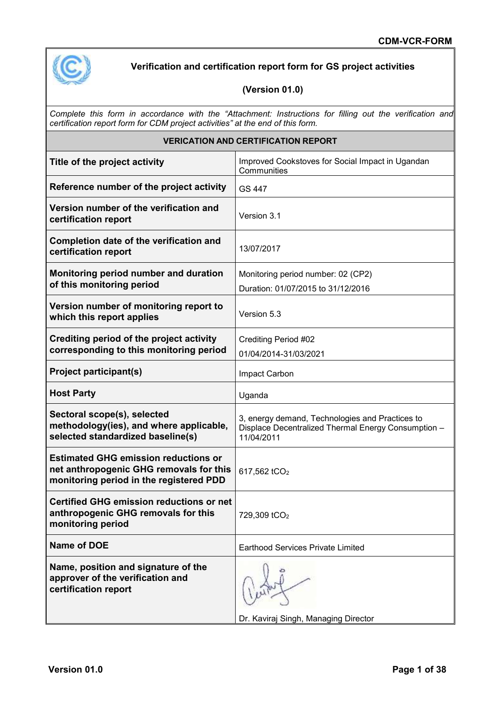

# **Verification and certification report form for GS project activities**

### **(Version 01.0)**

*Complete this form in accordance with the "Attachment: Instructions for filling out the verification and certification report form for CDM project activities" at the end of this form.*

| <b>VERICATION AND CERTIFICATION REPORT</b>                                                                                        |                                                                                                                      |  |  |  |
|-----------------------------------------------------------------------------------------------------------------------------------|----------------------------------------------------------------------------------------------------------------------|--|--|--|
| Title of the project activity                                                                                                     | Improved Cookstoves for Social Impact in Ugandan<br>Communities                                                      |  |  |  |
| Reference number of the project activity                                                                                          | GS 447                                                                                                               |  |  |  |
| Version number of the verification and<br>certification report                                                                    | Version 3.1                                                                                                          |  |  |  |
| Completion date of the verification and<br>certification report                                                                   | 13/07/2017                                                                                                           |  |  |  |
| Monitoring period number and duration<br>of this monitoring period                                                                | Monitoring period number: 02 (CP2)<br>Duration: 01/07/2015 to 31/12/2016                                             |  |  |  |
| Version number of monitoring report to<br>which this report applies                                                               | Version 5.3                                                                                                          |  |  |  |
| Crediting period of the project activity<br>corresponding to this monitoring period                                               | Crediting Period #02<br>01/04/2014-31/03/2021                                                                        |  |  |  |
| <b>Project participant(s)</b>                                                                                                     | Impact Carbon                                                                                                        |  |  |  |
| <b>Host Party</b>                                                                                                                 | Uganda                                                                                                               |  |  |  |
| Sectoral scope(s), selected<br>methodology(ies), and where applicable,<br>selected standardized baseline(s)                       | 3, energy demand, Technologies and Practices to<br>Displace Decentralized Thermal Energy Consumption -<br>11/04/2011 |  |  |  |
| <b>Estimated GHG emission reductions or</b><br>net anthropogenic GHG removals for this<br>monitoring period in the registered PDD | 617,562 tCO <sub>2</sub>                                                                                             |  |  |  |
| <b>Certified GHG emission reductions or net</b><br>anthropogenic GHG removals for this<br>monitoring period                       | 729,309 tCO <sub>2</sub>                                                                                             |  |  |  |
| <b>Name of DOE</b>                                                                                                                | Earthood Services Private Limited                                                                                    |  |  |  |
| Name, position and signature of the<br>approver of the verification and<br>certification report                                   | Dr. Kaviraj Singh, Managing Director                                                                                 |  |  |  |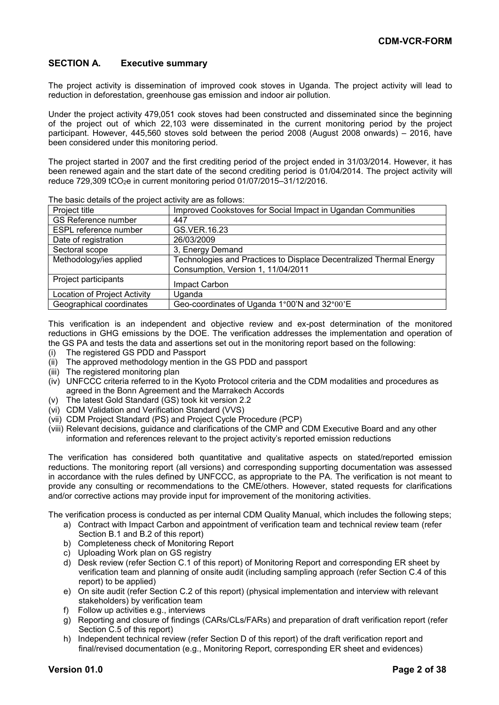#### **SECTION A. Executive summary**

The project activity is dissemination of improved cook stoves in Uganda. The project activity will lead to reduction in deforestation, greenhouse gas emission and indoor air pollution.

Under the project activity 479,051 cook stoves had been constructed and disseminated since the beginning of the project out of which 22,103 were disseminated in the current monitoring period by the project participant. However, 445,560 stoves sold between the period 2008 (August 2008 onwards) – 2016, have been considered under this monitoring period.

The project started in 2007 and the first crediting period of the project ended in 31/03/2014. However, it has been renewed again and the start date of the second crediting period is 01/04/2014. The project activity will reduce 729,309 tCO2e in current monitoring period 01/07/2015–31/12/2016.

| The basic actually of the project activity are ac followed.         |
|---------------------------------------------------------------------|
| Improved Cookstoves for Social Impact in Ugandan Communities        |
| 447                                                                 |
| GS.VER.16.23                                                        |
| 26/03/2009                                                          |
| 3, Energy Demand                                                    |
| Technologies and Practices to Displace Decentralized Thermal Energy |
| Consumption, Version 1, 11/04/2011                                  |
| Impact Carbon                                                       |
| Uganda                                                              |
| Geo-coordinates of Uganda 1°00'N and 32°00'E                        |
|                                                                     |

The basic details of the project activity are as follows:

This verification is an independent and objective review and ex-post determination of the monitored reductions in GHG emissions by the DOE. The verification addresses the implementation and operation of the GS PA and tests the data and assertions set out in the monitoring report based on the following:

- (i) The registered GS PDD and Passport
- (ii) The approved methodology mention in the GS PDD and passport
- (iii) The registered monitoring plan
- (iv) UNFCCC criteria referred to in the Kyoto Protocol criteria and the CDM modalities and procedures as agreed in the Bonn Agreement and the Marrakech Accords
- (v) The latest Gold Standard (GS) took kit version 2.2
- (vi) CDM Validation and Verification Standard (VVS)
- (vii) CDM Project Standard (PS) and Project Cycle Procedure (PCP)
- (viii) Relevant decisions, guidance and clarifications of the CMP and CDM Executive Board and any other information and references relevant to the project activity's reported emission reductions

The verification has considered both quantitative and qualitative aspects on stated/reported emission reductions. The monitoring report (all versions) and corresponding supporting documentation was assessed in accordance with the rules defined by UNFCCC, as appropriate to the PA. The verification is not meant to provide any consulting or recommendations to the CME/others. However, stated requests for clarifications and/or corrective actions may provide input for improvement of the monitoring activities.

The verification process is conducted as per internal CDM Quality Manual, which includes the following steps;

- a) Contract with Impact Carbon and appointment of verification team and technical review team (refer Section B.1 and B.2 of this report)
- b) Completeness check of Monitoring Report
- c) Uploading Work plan on GS registry
- d) Desk review (refer Section C.1 of this report) of Monitoring Report and corresponding ER sheet by verification team and planning of onsite audit (including sampling approach (refer Section C.4 of this report) to be applied)
- e) On site audit (refer Section C.2 of this report) (physical implementation and interview with relevant stakeholders) by verification team
- f) Follow up activities e.g., interviews
- g) Reporting and closure of findings (CARs/CLs/FARs) and preparation of draft verification report (refer Section C.5 of this report)
- h) Independent technical review (refer Section D of this report) of the draft verification report and final/revised documentation (e.g., Monitoring Report, corresponding ER sheet and evidences)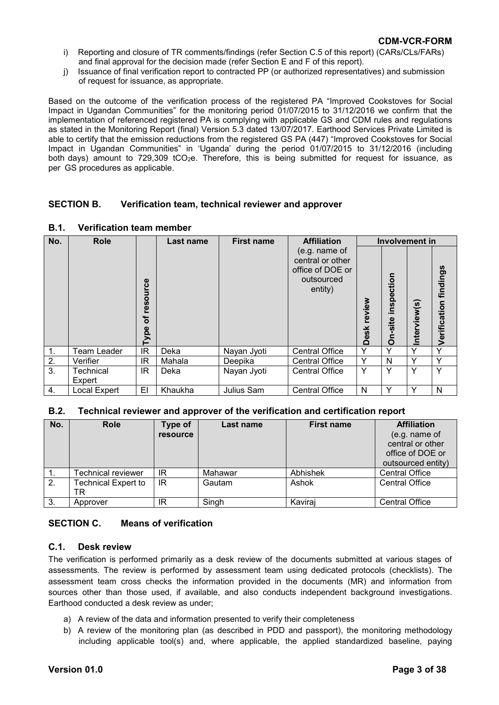- i) Reporting and closure of TR comments/findings (refer Section C.5 of this report) (CARs/CLs/FARs) and final approval for the decision made (refer Section E and F of this report).
- j) Issuance of final verification report to contracted PP (or authorized representatives) and submission of request for issuance, as appropriate.

Based on the outcome of the verification process of the registered PA "Improved Cookstoves for Social Impact in Ugandan Communities" for the monitoring period 01/07/2015 to 31/12/2016 we confirm that the implementation of referenced registered PA is complying with applicable GS and CDM rules and regulations as stated in the Monitoring Report (final) Version 5.3 dated 13/07/2017. Earthood Services Private Limited is able to certify that the emission reductions from the registered GS PA (447) "Improved Cookstoves for Social Impact in Ugandan Communities" in 'Uganda' during the period 01/07/2015 to 31/12/2016 (including both days) amount to  $729,309$  tCO<sub>2</sub>e. Therefore, this is being submitted for request for issuance, as per GS procedures as applicable.

#### **SECTION B. Verification team, technical reviewer and approver**

| No. | <b>Role</b>         |                      | Last name | <b>First name</b> | <b>Affiliation</b>                                                             |             |                                 | <b>Involvement in</b> |                              |
|-----|---------------------|----------------------|-----------|-------------------|--------------------------------------------------------------------------------|-------------|---------------------------------|-----------------------|------------------------------|
|     |                     | resource<br>৳<br>ype |           |                   | (e.g. name of<br>central or other<br>office of DOE or<br>outsourced<br>entity) | Desk review | ction<br>Ŏ,<br>ins<br>site<br>δ | nterview(s)           | <b>/erification findings</b> |
| 1.  | <b>Team Leader</b>  | <b>IR</b>            | Deka      | Nayan Jyoti       | <b>Central Office</b>                                                          | Y           | ٧                               |                       | $\checkmark$                 |
| 2.  | Verifier            | ΙR                   | Mahala    | Deepika           | <b>Central Office</b>                                                          | Y           | N                               | $\checkmark$          | Υ                            |
| 3.  | Technical<br>Expert | IR                   | Deka      | Nayan Jyoti       | <b>Central Office</b>                                                          | Y           | Υ                               |                       | v                            |
| 4.  | Local Expert        | EI                   | Khaukha   | Julius Sam        | <b>Central Office</b>                                                          | N           | Y                               |                       | N                            |

#### **B.1. Verification team member**

#### **B.2. Technical reviewer and approver of the verification and certification report**

| No. | <b>Role</b>                      | Type of<br>resource | Last name | <b>First name</b> | <b>Affiliation</b><br>(e.g. name of<br>central or other<br>office of DOE or<br>outsourced entity) |
|-----|----------------------------------|---------------------|-----------|-------------------|---------------------------------------------------------------------------------------------------|
|     | Technical reviewer               | IR                  | Mahawar   | Abhishek          | <b>Central Office</b>                                                                             |
| 2.  | <b>Technical Expert to</b><br>TR | IR                  | Gautam    | Ashok             | <b>Central Office</b>                                                                             |
| 3.  | Approver                         | ΙR                  | Singh     | Kaviraj           | <b>Central Office</b>                                                                             |

#### **SECTION C. Means of verification**

#### **C.1. Desk review**

The verification is performed primarily as a desk review of the documents submitted at various stages of assessments. The review is performed by assessment team using dedicated protocols (checklists). The assessment team cross checks the information provided in the documents (MR) and information from sources other than those used, if available, and also conducts independent background investigations. Earthood conducted a desk review as under;

- a) A review of the data and information presented to verify their completeness
- b) A review of the monitoring plan (as described in PDD and passport), the monitoring methodology including applicable tool(s) and, where applicable, the applied standardized baseline, paying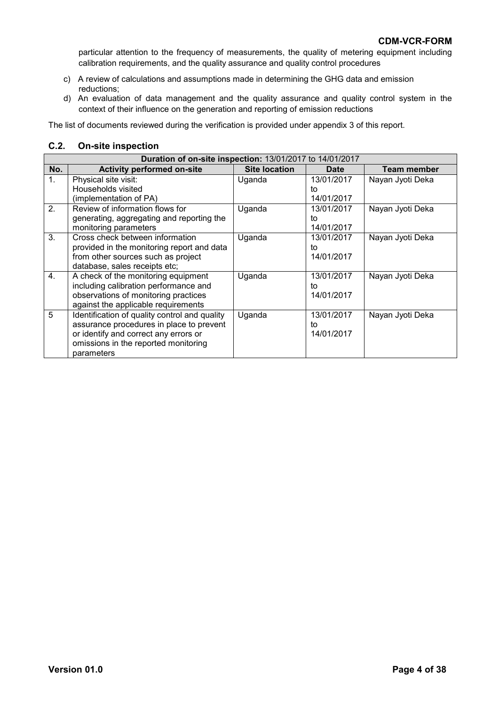particular attention to the frequency of measurements, the quality of metering equipment including calibration requirements, and the quality assurance and quality control procedures

- c) A review of calculations and assumptions made in determining the GHG data and emission reductions;
- d) An evaluation of data management and the quality assurance and quality control system in the context of their influence on the generation and reporting of emission reductions

The list of documents reviewed during the verification is provided under appendix 3 of this report.

#### **C.2. On-site inspection**

|                | <b>Duration of on-site inspection: 13/01/2017 to 14/01/2017</b> |                      |             |                  |  |  |  |  |
|----------------|-----------------------------------------------------------------|----------------------|-------------|------------------|--|--|--|--|
| No.            | <b>Activity performed on-site</b>                               | <b>Site location</b> | <b>Date</b> | Team member      |  |  |  |  |
| 1.             | Physical site visit:                                            | Uganda               | 13/01/2017  | Nayan Jyoti Deka |  |  |  |  |
|                | Households visited                                              |                      | to          |                  |  |  |  |  |
|                | (implementation of PA)                                          |                      | 14/01/2017  |                  |  |  |  |  |
| 2 <sub>1</sub> | Review of information flows for                                 | Uganda               | 13/01/2017  | Nayan Jyoti Deka |  |  |  |  |
|                | generating, aggregating and reporting the                       |                      | to          |                  |  |  |  |  |
|                | monitoring parameters                                           |                      | 14/01/2017  |                  |  |  |  |  |
| 3.             | Cross check between information                                 | Uganda               | 13/01/2017  | Nayan Jyoti Deka |  |  |  |  |
|                | provided in the monitoring report and data                      |                      | to          |                  |  |  |  |  |
|                | from other sources such as project                              |                      | 14/01/2017  |                  |  |  |  |  |
|                | database, sales receipts etc;                                   |                      |             |                  |  |  |  |  |
| 4.             | A check of the monitoring equipment                             | Uganda               | 13/01/2017  | Nayan Jyoti Deka |  |  |  |  |
|                | including calibration performance and                           |                      | to          |                  |  |  |  |  |
|                | observations of monitoring practices                            |                      | 14/01/2017  |                  |  |  |  |  |
|                | against the applicable requirements                             |                      |             |                  |  |  |  |  |
| 5              | Identification of quality control and quality                   | Uganda               | 13/01/2017  | Nayan Jyoti Deka |  |  |  |  |
|                | assurance procedures in place to prevent                        |                      | to          |                  |  |  |  |  |
|                | or identify and correct any errors or                           |                      | 14/01/2017  |                  |  |  |  |  |
|                | omissions in the reported monitoring                            |                      |             |                  |  |  |  |  |
|                | parameters                                                      |                      |             |                  |  |  |  |  |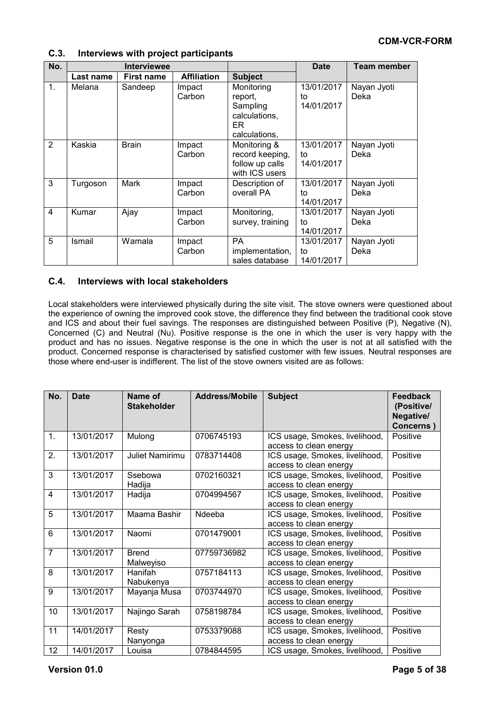### **C.3. Interviews with project participants**

| No.            | <b>Interviewee</b> |                   |                    | <b>Date</b>                                                                | <b>Team member</b>             |                     |
|----------------|--------------------|-------------------|--------------------|----------------------------------------------------------------------------|--------------------------------|---------------------|
|                | Last name          | <b>First name</b> | <b>Affiliation</b> | <b>Subject</b>                                                             |                                |                     |
| $\mathbf{1}$ . | Melana             | Sandeep           | Impact<br>Carbon   | Monitoring<br>report.<br>Sampling<br>calculations,<br>ER.<br>calculations, | 13/01/2017<br>to<br>14/01/2017 | Nayan Jyoti<br>Deka |
| $\overline{2}$ | Kaskia             | <b>Brain</b>      | Impact<br>Carbon   | Monitoring &<br>record keeping,<br>follow up calls<br>with ICS users       | 13/01/2017<br>to<br>14/01/2017 | Nayan Jyoti<br>Deka |
| 3              | Turgoson           | Mark              | Impact<br>Carbon   | Description of<br>overall PA                                               | 13/01/2017<br>to<br>14/01/2017 | Nayan Jyoti<br>Deka |
| $\overline{4}$ | Kumar              | Ajay              | Impact<br>Carbon   | Monitoring,<br>survey, training                                            | 13/01/2017<br>to<br>14/01/2017 | Nayan Jyoti<br>Deka |
| 5              | Ismail             | Wamala            | Impact<br>Carbon   | <b>PA</b><br>implementation,<br>sales database                             | 13/01/2017<br>to<br>14/01/2017 | Nayan Jyoti<br>Deka |

#### **C.4. Interviews with local stakeholders**

Local stakeholders were interviewed physically during the site visit. The stove owners were questioned about the experience of owning the improved cook stove, the difference they find between the traditional cook stove and ICS and about their fuel savings. The responses are distinguished between Positive (P), Negative (N), Concerned (C) and Neutral (Nu). Positive response is the one in which the user is very happy with the product and has no issues. Negative response is the one in which the user is not at all satisfied with the product. Concerned response is characterised by satisfied customer with few issues. Neutral responses are those where end-user is indifferent. The list of the stove owners visited are as follows:

| No.             | <b>Date</b> | Name of<br><b>Stakeholder</b> | <b>Address/Mobile</b> | <b>Subject</b>                                           | <b>Feedback</b><br>(Positive/<br>Negative/<br>Concerns) |
|-----------------|-------------|-------------------------------|-----------------------|----------------------------------------------------------|---------------------------------------------------------|
| $\mathbf{1}$ .  | 13/01/2017  | Mulong                        | 0706745193            | ICS usage, Smokes, livelihood,<br>access to clean energy | Positive                                                |
| 2.              | 13/01/2017  | Juliet Namirimu               | 0783714408            | ICS usage, Smokes, livelihood,<br>access to clean energy | Positive                                                |
| 3               | 13/01/2017  | Ssebowa<br>Hadija             | 0702160321            | ICS usage, Smokes, livelihood,<br>access to clean energy | Positive                                                |
| 4               | 13/01/2017  | Hadija                        | 0704994567            | ICS usage, Smokes, livelihood,<br>access to clean energy | Positive                                                |
| $\overline{5}$  | 13/01/2017  | Maama Bashir                  | Ndeeba                | ICS usage, Smokes, livelihood,<br>access to clean energy | Positive                                                |
| $6\phantom{1}6$ | 13/01/2017  | Naomi                         | 0701479001            | ICS usage, Smokes, livelihood,<br>access to clean energy | Positive                                                |
| $\overline{7}$  | 13/01/2017  | <b>Brend</b><br>Malweyiso     | 07759736982           | ICS usage, Smokes, livelihood,<br>access to clean energy | Positive                                                |
| 8               | 13/01/2017  | Hanifah<br>Nabukenya          | 0757184113            | ICS usage, Smokes, livelihood,<br>access to clean energy | Positive                                                |
| 9               | 13/01/2017  | Mayanja Musa                  | 0703744970            | ICS usage, Smokes, livelihood,<br>access to clean energy | Positive                                                |
| 10              | 13/01/2017  | Najingo Sarah                 | 0758198784            | ICS usage, Smokes, livelihood,<br>access to clean energy | Positive                                                |
| 11              | 14/01/2017  | Resty<br>Nanyonga             | 0753379088            | ICS usage, Smokes, livelihood,<br>access to clean energy | Positive                                                |
| 12              | 14/01/2017  | Louisa                        | 0784844595            | ICS usage, Smokes, livelihood,                           | Positive                                                |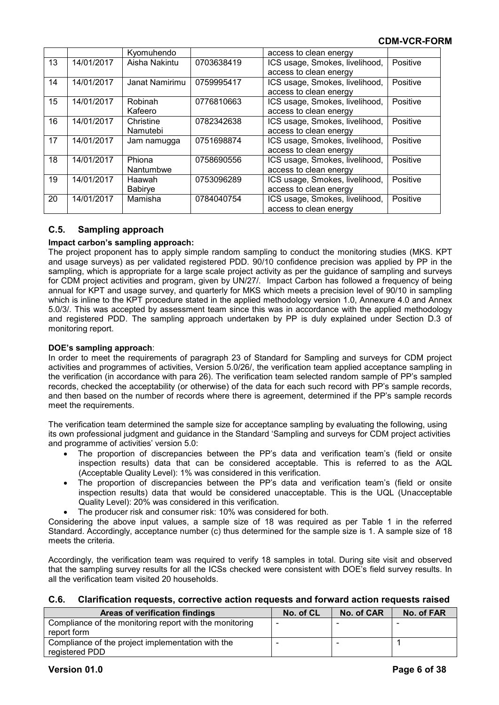|    |            | Kyomuhendo     |            | access to clean energy         |          |
|----|------------|----------------|------------|--------------------------------|----------|
| 13 | 14/01/2017 | Aisha Nakintu  | 0703638419 | ICS usage, Smokes, livelihood, | Positive |
|    |            |                |            | access to clean energy         |          |
| 14 | 14/01/2017 | Janat Namirimu | 0759995417 | ICS usage, Smokes, livelihood, | Positive |
|    |            |                |            | access to clean energy         |          |
| 15 | 14/01/2017 | Robinah        | 0776810663 | ICS usage, Smokes, livelihood, | Positive |
|    |            | Kafeero        |            | access to clean energy         |          |
| 16 | 14/01/2017 | Christine      | 0782342638 | ICS usage, Smokes, livelihood, | Positive |
|    |            | Namutebi       |            | access to clean energy         |          |
| 17 | 14/01/2017 | Jam namugga    | 0751698874 | ICS usage, Smokes, livelihood, | Positive |
|    |            |                |            | access to clean energy         |          |
| 18 | 14/01/2017 | Phiona         | 0758690556 | ICS usage, Smokes, livelihood, | Positive |
|    |            | Nantumbwe      |            | access to clean energy         |          |
| 19 | 14/01/2017 | Haawah         | 0753096289 | ICS usage, Smokes, livelihood, | Positive |
|    |            | Babirye        |            | access to clean energy         |          |
| 20 | 14/01/2017 | Mamisha        | 0784040754 | ICS usage, Smokes, livelihood, | Positive |
|    |            |                |            | access to clean energy         |          |

### **C.5. Sampling approach**

#### **Impact carbon's sampling approach:**

The project proponent has to apply simple random sampling to conduct the monitoring studies (MKS. KPT and usage surveys) as per validated registered PDD. 90/10 confidence precision was applied by PP in the sampling, which is appropriate for a large scale project activity as per the guidance of sampling and surveys for CDM project activities and program, given by UN/27/. Impact Carbon has followed a frequency of being annual for KPT and usage survey, and quarterly for MKS which meets a precision level of 90/10 in sampling which is inline to the KPT procedure stated in the applied methodology version 1.0, Annexure 4.0 and Annex 5.0/3/. This was accepted by assessment team since this was in accordance with the applied methodology and registered PDD. The sampling approach undertaken by PP is duly explained under Section D.3 of monitoring report.

#### **DOE's sampling approach**:

In order to meet the requirements of paragraph 23 of Standard for Sampling and surveys for CDM project activities and programmes of activities, Version 5.0/26/, the verification team applied acceptance sampling in the verification (in accordance with para 26). The verification team selected random sample of PP's sampled records, checked the acceptability (or otherwise) of the data for each such record with PP's sample records, and then based on the number of records where there is agreement, determined if the PP's sample records meet the requirements.

The verification team determined the sample size for acceptance sampling by evaluating the following, using its own professional judgment and guidance in the Standard 'Sampling and surveys for CDM project activities and programme of activities' version 5.0:

- The proportion of discrepancies between the PP's data and verification team's (field or onsite inspection results) data that can be considered acceptable. This is referred to as the AQL (Acceptable Quality Level): 1% was considered in this verification.
- The proportion of discrepancies between the PP's data and verification team's (field or onsite inspection results) data that would be considered unacceptable. This is the UQL (Unacceptable Quality Level): 20% was considered in this verification.
- The producer risk and consumer risk: 10% was considered for both.

Considering the above input values, a sample size of 18 was required as per Table 1 in the referred Standard. Accordingly, acceptance number (c) thus determined for the sample size is 1. A sample size of 18 meets the criteria.

Accordingly, the verification team was required to verify 18 samples in total. During site visit and observed that the sampling survey results for all the ICSs checked were consistent with DOE's field survey results. In all the verification team visited 20 households.

#### **C.6. Clarification requests, corrective action requests and forward action requests raised**

| <b>Areas of verification findings</b>                                  | No. of CL | No. of CAR | No. of FAR |
|------------------------------------------------------------------------|-----------|------------|------------|
| Compliance of the monitoring report with the monitoring<br>report form |           |            |            |
| Compliance of the project implementation with the<br>registered PDD    |           |            |            |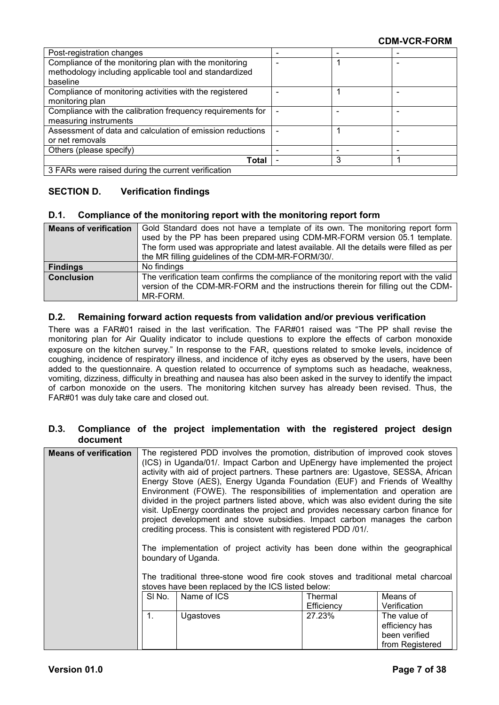| Post-registration changes                                  |  |   |  |  |  |
|------------------------------------------------------------|--|---|--|--|--|
| Compliance of the monitoring plan with the monitoring      |  |   |  |  |  |
| methodology including applicable tool and standardized     |  |   |  |  |  |
| baseline                                                   |  |   |  |  |  |
| Compliance of monitoring activities with the registered    |  |   |  |  |  |
| monitoring plan                                            |  |   |  |  |  |
| Compliance with the calibration frequency requirements for |  |   |  |  |  |
| measuring instruments                                      |  |   |  |  |  |
| Assessment of data and calculation of emission reductions  |  |   |  |  |  |
| or net removals                                            |  |   |  |  |  |
| Others (please specify)                                    |  |   |  |  |  |
| Total                                                      |  | 3 |  |  |  |
| 3 FARs were raised during the current verification         |  |   |  |  |  |

### **SECTION D. Verification findings**

#### **D.1. Compliance of the monitoring report with the monitoring report form**

| <b>Means of verification</b> | Gold Standard does not have a template of its own. The monitoring report form<br>used by the PP has been prepared using CDM-MR-FORM version 05.1 template.<br>The form used was appropriate and latest available. All the details were filled as per<br>the MR filling guidelines of the CDM-MR-FORM/30/. |
|------------------------------|-----------------------------------------------------------------------------------------------------------------------------------------------------------------------------------------------------------------------------------------------------------------------------------------------------------|
| <b>Findings</b>              | No findings                                                                                                                                                                                                                                                                                               |
| <b>Conclusion</b>            | The verification team confirms the compliance of the monitoring report with the valid<br>version of the CDM-MR-FORM and the instructions therein for filling out the CDM-<br>MR-FORM.                                                                                                                     |

#### **D.2. Remaining forward action requests from validation and/or previous verification**

There was a FAR#01 raised in the last verification. The FAR#01 raised was "The PP shall revise the monitoring plan for Air Quality indicator to include questions to explore the effects of carbon monoxide exposure on the kitchen survey." In response to the FAR, questions related to smoke levels, incidence of coughing, incidence of respiratory illness, and incidence of itchy eyes as observed by the users, have been added to the questionnaire. A question related to occurrence of symptoms such as headache, weakness, vomiting, dizziness, difficulty in breathing and nausea has also been asked in the survey to identify the impact of carbon monoxide on the users. The monitoring kitchen survey has already been revised. Thus, the FAR#01 was duly take care and closed out.

#### **D.3. Compliance of the project implementation with the registered project design document**

| <b>Means of verification</b> |                | The registered PDD involves the promotion, distribution of improved cook stoves<br>(ICS) in Uganda/01/. Impact Carbon and UpEnergy have implemented the project<br>activity with aid of project partners. These partners are: Ugastove, SESSA, African<br>Energy Stove (AES), Energy Uganda Foundation (EUF) and Friends of Wealthy<br>Environment (FOWE). The responsibilities of implementation and operation are<br>divided in the project partners listed above, which was also evident during the site<br>visit. UpEnergy coordinates the project and provides necessary carbon finance for<br>project development and stove subsidies. Impact carbon manages the carbon<br>crediting process. This is consistent with registered PDD /01/.<br>The implementation of project activity has been done within the geographical<br>boundary of Uganda.<br>The traditional three-stone wood fire cook stoves and traditional metal charcoal<br>stoves have been replaced by the ICS listed below: |                       |                                |
|------------------------------|----------------|---------------------------------------------------------------------------------------------------------------------------------------------------------------------------------------------------------------------------------------------------------------------------------------------------------------------------------------------------------------------------------------------------------------------------------------------------------------------------------------------------------------------------------------------------------------------------------------------------------------------------------------------------------------------------------------------------------------------------------------------------------------------------------------------------------------------------------------------------------------------------------------------------------------------------------------------------------------------------------------------------|-----------------------|--------------------------------|
|                              | SI No.         | Name of ICS                                                                                                                                                                                                                                                                                                                                                                                                                                                                                                                                                                                                                                                                                                                                                                                                                                                                                                                                                                                       | Thermal<br>Efficiency | Means of<br>Verification       |
|                              | $\mathbf{1}$ . | <b>Ugastoves</b>                                                                                                                                                                                                                                                                                                                                                                                                                                                                                                                                                                                                                                                                                                                                                                                                                                                                                                                                                                                  | 27.23%                | The value of<br>efficiency has |
|                              |                |                                                                                                                                                                                                                                                                                                                                                                                                                                                                                                                                                                                                                                                                                                                                                                                                                                                                                                                                                                                                   |                       | been verified                  |
|                              |                |                                                                                                                                                                                                                                                                                                                                                                                                                                                                                                                                                                                                                                                                                                                                                                                                                                                                                                                                                                                                   |                       | from Registered                |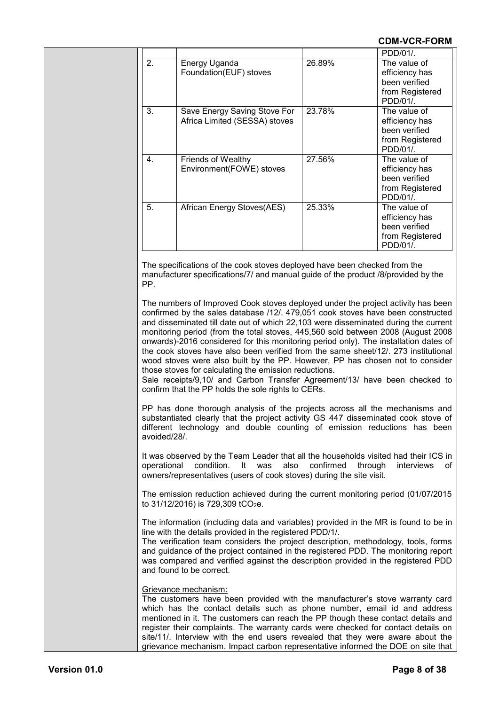|                |                                                               |        | PDD/01/                                                                       |
|----------------|---------------------------------------------------------------|--------|-------------------------------------------------------------------------------|
| 2.             | Energy Uganda<br>Foundation(EUF) stoves                       | 26.89% | The value of<br>efficiency has<br>been verified<br>from Registered<br>PDD/01/ |
| 3.             | Save Energy Saving Stove For<br>Africa Limited (SESSA) stoves | 23.78% | The value of<br>efficiency has<br>been verified<br>from Registered<br>PDD/01/ |
| 4 <sup>1</sup> | <b>Friends of Wealthy</b><br>Environment(FOWE) stoves         | 27.56% | The value of<br>efficiency has<br>been verified<br>from Registered<br>PDD/01/ |
| 5.             | African Energy Stoves(AES)                                    | 25.33% | The value of<br>efficiency has<br>been verified<br>from Registered<br>PDD/01/ |

The specifications of the cook stoves deployed have been checked from the manufacturer specifications/7/ and manual guide of the product /8/provided by the PP.

The numbers of Improved Cook stoves deployed under the project activity has been confirmed by the sales database /12/. 479,051 cook stoves have been constructed and disseminated till date out of which 22,103 were disseminated during the current monitoring period (from the total stoves, 445,560 sold between 2008 (August 2008 onwards)-2016 considered for this monitoring period only). The installation dates of the cook stoves have also been verified from the same sheet/12/. 273 institutional wood stoves were also built by the PP. However, PP has chosen not to consider those stoves for calculating the emission reductions.

Sale receipts/9,10/ and Carbon Transfer Agreement/13/ have been checked to confirm that the PP holds the sole rights to CERs.

PP has done thorough analysis of the projects across all the mechanisms and substantiated clearly that the project activity GS 447 disseminated cook stove of different technology and double counting of emission reductions has been avoided/28/.

It was observed by the Team Leader that all the households visited had their ICS in operational condition. It was also confirmed through interviews of owners/representatives (users of cook stoves) during the site visit.

The emission reduction achieved during the current monitoring period (01/07/2015 to  $31/12/2016$ ) is  $729,309$  tCO<sub>2</sub>e.

The information (including data and variables) provided in the MR is found to be in line with the details provided in the registered PDD/1/.

The verification team considers the project description, methodology, tools, forms and guidance of the project contained in the registered PDD. The monitoring report was compared and verified against the description provided in the registered PDD and found to be correct.

#### Grievance mechanism:

The customers have been provided with the manufacturer's stove warranty card which has the contact details such as phone number, email id and address mentioned in it. The customers can reach the PP though these contact details and register their complaints. The warranty cards were checked for contact details on site/11/. Interview with the end users revealed that they were aware about the grievance mechanism. Impact carbon representative informed the DOE on site that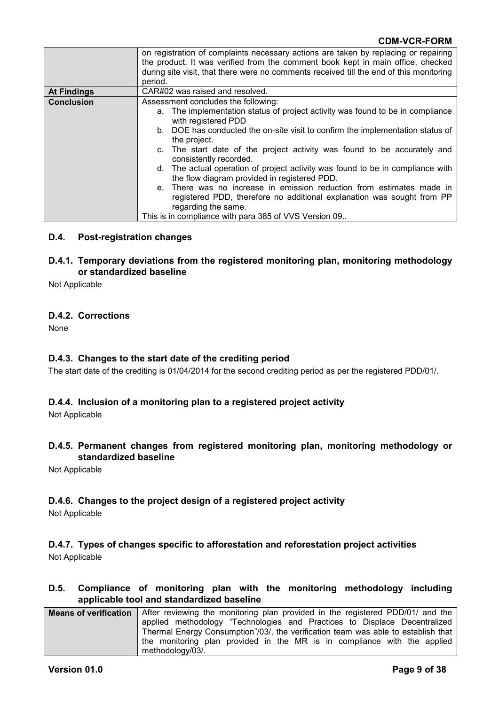|                    | on registration of complaints necessary actions are taken by replacing or repairing<br>the product. It was verified from the comment book kept in main office, checked<br>during site visit, that there were no comments received till the end of this monitoring |  |
|--------------------|-------------------------------------------------------------------------------------------------------------------------------------------------------------------------------------------------------------------------------------------------------------------|--|
|                    | period.                                                                                                                                                                                                                                                           |  |
| <b>At Findings</b> | CAR#02 was raised and resolved.                                                                                                                                                                                                                                   |  |
| <b>Conclusion</b>  | Assessment concludes the following:                                                                                                                                                                                                                               |  |
|                    | a. The implementation status of project activity was found to be in compliance<br>with registered PDD                                                                                                                                                             |  |
|                    | b. DOE has conducted the on-site visit to confirm the implementation status of<br>the project.                                                                                                                                                                    |  |
|                    | c. The start date of the project activity was found to be accurately and<br>consistently recorded.                                                                                                                                                                |  |
|                    | d. The actual operation of project activity was found to be in compliance with<br>the flow diagram provided in registered PDD.                                                                                                                                    |  |
|                    | e. There was no increase in emission reduction from estimates made in                                                                                                                                                                                             |  |
|                    | registered PDD, therefore no additional explanation was sought from PP                                                                                                                                                                                            |  |
|                    | regarding the same.                                                                                                                                                                                                                                               |  |
|                    | This is in compliance with para 385 of VVS Version 09                                                                                                                                                                                                             |  |

#### **D.4. Post-registration changes**

#### **D.4.1. Temporary deviations from the registered monitoring plan, monitoring methodology or standardized baseline**

Not Applicable

#### **D.4.2. Corrections**

None

#### **D.4.3. Changes to the start date of the crediting period**

The start date of the crediting is 01/04/2014 for the second crediting period as per the registered PDD/01/.

#### **D.4.4. Inclusion of a monitoring plan to a registered project activity**

Not Applicable

#### **D.4.5. Permanent changes from registered monitoring plan, monitoring methodology or standardized baseline**

Not Applicable

#### **D.4.6. Changes to the project design of a registered project activity**

Not Applicable

#### **D.4.7. Types of changes specific to afforestation and reforestation project activities** Not Applicable

#### **D.5. Compliance of monitoring plan with the monitoring methodology including applicable tool and standardized baseline**

| <b>Means of verification</b> After reviewing the monitoring plan provided in the registered PDD/01/ and the |
|-------------------------------------------------------------------------------------------------------------|
| applied methodology "Technologies and Practices to Displace Decentralized                                   |
| Thermal Energy Consumption"/03/, the verification team was able to establish that                           |
| the monitoring plan provided in the MR is in compliance with the applied                                    |
| methodology/03/.                                                                                            |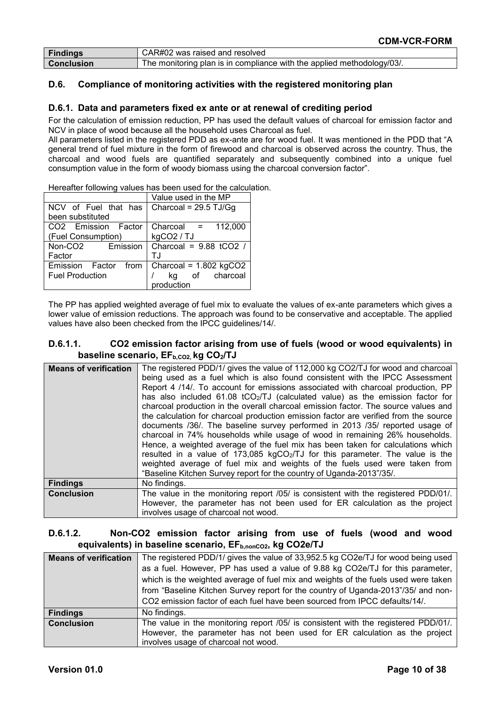| <b>Findings</b>   | CAR#02 was raised and resolved                                         |
|-------------------|------------------------------------------------------------------------|
| <b>Conclusion</b> | The monitoring plan is in compliance with the applied methodology/03/. |

#### **D.6. Compliance of monitoring activities with the registered monitoring plan**

#### **D.6.1. Data and parameters fixed ex ante or at renewal of crediting period**

For the calculation of emission reduction, PP has used the default values of charcoal for emission factor and NCV in place of wood because all the household uses Charcoal as fuel.

All parameters listed in the registered PDD as ex-ante are for wood fuel. It was mentioned in the PDD that "A general trend of fuel mixture in the form of firewood and charcoal is observed across the country. Thus, the charcoal and wood fuels are quantified separately and subsequently combined into a unique fuel consumption value in the form of woody biomass using the charcoal conversion factor".

|                                 | Value used in the MP     |
|---------------------------------|--------------------------|
| NCV of Fuel that has            | Charcoal = $29.5$ TJ/Gg  |
| been substituted                |                          |
| CO2 Emission Factor             | 112,000<br>Charcoal =    |
| (Fuel Consumption)              | kgCO2 / TJ               |
| Emission<br>Non-CO <sub>2</sub> | Charcoal = $9.88$ tCO2 / |
| Factor                          | ΤJ                       |
| Emission Factor from            | Charcoal = $1.802$ kgCO2 |
| <b>Fuel Production</b>          | kg of charcoal           |
|                                 | production               |

Hereafter following values has been used for the calculation.

The PP has applied weighted average of fuel mix to evaluate the values of ex-ante parameters which gives a lower value of emission reductions. The approach was found to be conservative and acceptable. The applied values have also been checked from the IPCC guidelines/14/.

#### **D.6.1.1. CO2 emission factor arising from use of fuels (wood or wood equivalents) in**  baseline scenario, EF<sub>b,CO2</sub>, kg CO<sub>2</sub>/TJ

| <b>Means of verification</b> | The registered PDD/1/ gives the value of 112,000 kg CO2/TJ for wood and charcoal<br>being used as a fuel which is also found consistent with the IPCC Assessment<br>Report 4 /14/. To account for emissions associated with charcoal production, PP<br>has also included 61.08 tCO <sub>2</sub> /TJ (calculated value) as the emission factor for<br>charcoal production in the overall charcoal emission factor. The source values and<br>the calculation for charcoal production emission factor are verified from the source<br>documents /36/. The baseline survey performed in 2013 /35/ reported usage of<br>charcoal in 74% households while usage of wood in remaining 26% households.<br>Hence, a weighted average of the fuel mix has been taken for calculations which<br>resulted in a value of 173,085 kgCO2/TJ for this parameter. The value is the<br>weighted average of fuel mix and weights of the fuels used were taken from<br>"Baseline Kitchen Survey report for the country of Uganda-2013"/35/. |
|------------------------------|-------------------------------------------------------------------------------------------------------------------------------------------------------------------------------------------------------------------------------------------------------------------------------------------------------------------------------------------------------------------------------------------------------------------------------------------------------------------------------------------------------------------------------------------------------------------------------------------------------------------------------------------------------------------------------------------------------------------------------------------------------------------------------------------------------------------------------------------------------------------------------------------------------------------------------------------------------------------------------------------------------------------------|
| <b>Findings</b>              | No findings.                                                                                                                                                                                                                                                                                                                                                                                                                                                                                                                                                                                                                                                                                                                                                                                                                                                                                                                                                                                                            |
| <b>Conclusion</b>            | The value in the monitoring report /05/ is consistent with the registered PDD/01/.                                                                                                                                                                                                                                                                                                                                                                                                                                                                                                                                                                                                                                                                                                                                                                                                                                                                                                                                      |
|                              | However, the parameter has not been used for ER calculation as the project<br>involves usage of charcoal not wood.                                                                                                                                                                                                                                                                                                                                                                                                                                                                                                                                                                                                                                                                                                                                                                                                                                                                                                      |

#### **D.6.1.2. Non-CO2 emission factor arising from use of fuels (wood and wood**  equivalents) in baseline scenario, EF<sub>b,nonCO2</sub>, kg CO2e/TJ

| <b>Means of verification</b> | The registered PDD/1/ gives the value of 33,952.5 kg CO2e/TJ for wood being used   |
|------------------------------|------------------------------------------------------------------------------------|
|                              | as a fuel. However, PP has used a value of 9.88 kg CO2e/TJ for this parameter,     |
|                              | which is the weighted average of fuel mix and weights of the fuels used were taken |
|                              | from "Baseline Kitchen Survey report for the country of Uganda-2013"/35/ and non-  |
|                              | CO2 emission factor of each fuel have been sourced from IPCC defaults/14/.         |
| <b>Findings</b>              | No findings.                                                                       |
| <b>Conclusion</b>            | The value in the monitoring report /05/ is consistent with the registered PDD/01/. |
|                              | However, the parameter has not been used for ER calculation as the project         |
|                              | involves usage of charcoal not wood.                                               |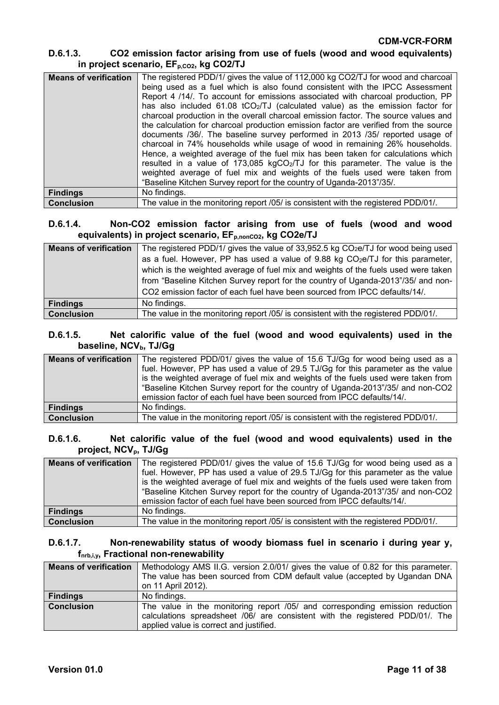### **D.6.1.3. CO2 emission factor arising from use of fuels (wood and wood equivalents)** in project scenario, EF<sub>p,CO2</sub>, kg CO2/TJ

| <b>Means of verification</b> | The registered PDD/1/ gives the value of 112,000 kg CO2/TJ for wood and charcoal<br>being used as a fuel which is also found consistent with the IPCC Assessment<br>Report 4 /14/. To account for emissions associated with charcoal production, PP<br>has also included $61.08$ tCO <sub>2</sub> /TJ (calculated value) as the emission factor for<br>charcoal production in the overall charcoal emission factor. The source values and<br>the calculation for charcoal production emission factor are verified from the source<br>documents /36/. The baseline survey performed in 2013 /35/ reported usage of<br>charcoal in 74% households while usage of wood in remaining 26% households.<br>Hence, a weighted average of the fuel mix has been taken for calculations which<br>resulted in a value of 173,085 kgCO <sub>2</sub> /TJ for this parameter. The value is the<br>weighted average of fuel mix and weights of the fuels used were taken from<br>"Baseline Kitchen Survey report for the country of Uganda-2013"/35/. |
|------------------------------|----------------------------------------------------------------------------------------------------------------------------------------------------------------------------------------------------------------------------------------------------------------------------------------------------------------------------------------------------------------------------------------------------------------------------------------------------------------------------------------------------------------------------------------------------------------------------------------------------------------------------------------------------------------------------------------------------------------------------------------------------------------------------------------------------------------------------------------------------------------------------------------------------------------------------------------------------------------------------------------------------------------------------------------|
|                              |                                                                                                                                                                                                                                                                                                                                                                                                                                                                                                                                                                                                                                                                                                                                                                                                                                                                                                                                                                                                                                        |
| <b>Findings</b>              | No findings.                                                                                                                                                                                                                                                                                                                                                                                                                                                                                                                                                                                                                                                                                                                                                                                                                                                                                                                                                                                                                           |
| <b>Conclusion</b>            | The value in the monitoring report /05/ is consistent with the registered PDD/01/.                                                                                                                                                                                                                                                                                                                                                                                                                                                                                                                                                                                                                                                                                                                                                                                                                                                                                                                                                     |

### **D.6.1.4. Non-CO2 emission factor arising from use of fuels (wood and wood**  equivalents) in project scenario, EF<sub>p,nonCO2</sub>, kg CO2e/TJ

| <b>Means of verification</b> | The registered PDD/1/ gives the value of 33,952.5 kg CO <sub>2</sub> e/TJ for wood being used<br>as a fuel. However, PP has used a value of $9.88$ kg CO <sub>2</sub> e/TJ for this parameter,<br>which is the weighted average of fuel mix and weights of the fuels used were taken<br>from "Baseline Kitchen Survey report for the country of Uganda-2013"/35/ and non- |
|------------------------------|---------------------------------------------------------------------------------------------------------------------------------------------------------------------------------------------------------------------------------------------------------------------------------------------------------------------------------------------------------------------------|
|                              | CO2 emission factor of each fuel have been sourced from IPCC defaults/14/.                                                                                                                                                                                                                                                                                                |
| <b>Findings</b>              | No findings.                                                                                                                                                                                                                                                                                                                                                              |
| <b>Conclusion</b>            | The value in the monitoring report /05/ is consistent with the registered PDD/01/.                                                                                                                                                                                                                                                                                        |

#### **D.6.1.5. Net calorific value of the fuel (wood and wood equivalents) used in the**  baseline, NCV<sub>b</sub>, TJ/Gg

| <b>Means of verification</b> | The registered PDD/01/ gives the value of 15.6 TJ/Gg for wood being used as a<br>fuel. However, PP has used a value of 29.5 TJ/Gq for this parameter as the value<br>is the weighted average of fuel mix and weights of the fuels used were taken from<br>"Baseline Kitchen Survey report for the country of Uganda-2013"/35/ and non-CO2<br>emission factor of each fuel have been sourced from IPCC defaults/14/. |
|------------------------------|---------------------------------------------------------------------------------------------------------------------------------------------------------------------------------------------------------------------------------------------------------------------------------------------------------------------------------------------------------------------------------------------------------------------|
| <b>Findings</b>              | No findings.                                                                                                                                                                                                                                                                                                                                                                                                        |
| <b>Conclusion</b>            | The value in the monitoring report /05/ is consistent with the registered PDD/01/.                                                                                                                                                                                                                                                                                                                                  |

#### **D.6.1.6. Net calorific value of the fuel (wood and wood equivalents) used in the**  project, NCV<sub>p</sub>, TJ/Gg

| <b>Means of verification</b> | The registered PDD/01/ gives the value of 15.6 TJ/Gg for wood being used as a<br>fuel. However, PP has used a value of 29.5 TJ/Gg for this parameter as the value<br>is the weighted average of fuel mix and weights of the fuels used were taken from<br>"Baseline Kitchen Survey report for the country of Uganda-2013"/35/ and non-CO2<br>emission factor of each fuel have been sourced from IPCC defaults/14/. |
|------------------------------|---------------------------------------------------------------------------------------------------------------------------------------------------------------------------------------------------------------------------------------------------------------------------------------------------------------------------------------------------------------------------------------------------------------------|
| <b>Findings</b>              | No findings.                                                                                                                                                                                                                                                                                                                                                                                                        |
| <b>Conclusion</b>            | The value in the monitoring report /05/ is consistent with the registered PDD/01/.                                                                                                                                                                                                                                                                                                                                  |

#### **D.6.1.7. Non-renewability status of woody biomass fuel in scenario i during year y, fnrb,i,y, Fractional non-renewability**

| <b>Means of verification</b> | Methodology AMS II.G. version 2.0/01/ gives the value of 0.82 for this parameter.                                                                                                                        |
|------------------------------|----------------------------------------------------------------------------------------------------------------------------------------------------------------------------------------------------------|
|                              | The value has been sourced from CDM default value (accepted by Ugandan DNA                                                                                                                               |
|                              | on 11 April 2012).                                                                                                                                                                                       |
| <b>Findings</b>              | No findings.                                                                                                                                                                                             |
| <b>Conclusion</b>            | The value in the monitoring report /05/ and corresponding emission reduction<br>calculations spreadsheet /06/ are consistent with the registered PDD/01/. The<br>applied value is correct and justified. |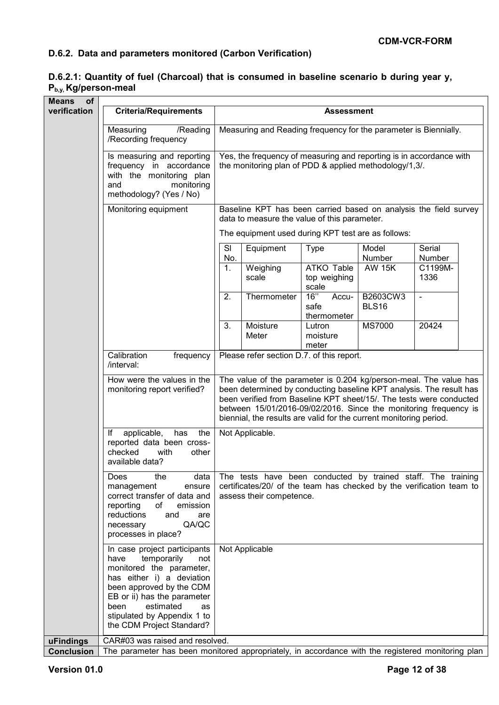# **D.6.2. Data and parameters monitored (Carbon Verification)**

### **D.6.2.1: Quantity of fuel (Charcoal) that is consumed in baseline scenario b during year y, Pb,y, Kg/person-meal**

| of<br><b>Means</b> |                                                                                                                                                                                                                                                                       |                                                                                                                                                                                                                                                                                                                                                           |                                                                                                                                                                  |                                            |                          |                  |  |  |
|--------------------|-----------------------------------------------------------------------------------------------------------------------------------------------------------------------------------------------------------------------------------------------------------------------|-----------------------------------------------------------------------------------------------------------------------------------------------------------------------------------------------------------------------------------------------------------------------------------------------------------------------------------------------------------|------------------------------------------------------------------------------------------------------------------------------------------------------------------|--------------------------------------------|--------------------------|------------------|--|--|
| verification       | <b>Criteria/Requirements</b>                                                                                                                                                                                                                                          |                                                                                                                                                                                                                                                                                                                                                           |                                                                                                                                                                  | <b>Assessment</b>                          |                          |                  |  |  |
|                    | Measuring<br>/Reading<br>/Recording frequency                                                                                                                                                                                                                         |                                                                                                                                                                                                                                                                                                                                                           | Measuring and Reading frequency for the parameter is Biennially.                                                                                                 |                                            |                          |                  |  |  |
|                    | Is measuring and reporting<br>frequency in accordance<br>with the monitoring plan<br>monitoring<br>and<br>methodology? (Yes / No)                                                                                                                                     |                                                                                                                                                                                                                                                                                                                                                           | Yes, the frequency of measuring and reporting is in accordance with<br>the monitoring plan of PDD & applied methodology/1,3/.                                    |                                            |                          |                  |  |  |
|                    | Monitoring equipment                                                                                                                                                                                                                                                  | Baseline KPT has been carried based on analysis the field survey<br>data to measure the value of this parameter.<br>The equipment used during KPT test are as follows:                                                                                                                                                                                    |                                                                                                                                                                  |                                            |                          |                  |  |  |
|                    |                                                                                                                                                                                                                                                                       |                                                                                                                                                                                                                                                                                                                                                           |                                                                                                                                                                  |                                            |                          |                  |  |  |
|                    |                                                                                                                                                                                                                                                                       | SI<br>No.                                                                                                                                                                                                                                                                                                                                                 | Equipment                                                                                                                                                        | <b>Type</b>                                | Model<br>Number          | Serial<br>Number |  |  |
|                    |                                                                                                                                                                                                                                                                       | 1.                                                                                                                                                                                                                                                                                                                                                        | Weighing<br>scale                                                                                                                                                | <b>ATKO Table</b><br>top weighing<br>scale | <b>AW 15K</b>            | C1199M-<br>1336  |  |  |
|                    |                                                                                                                                                                                                                                                                       | 2.                                                                                                                                                                                                                                                                                                                                                        | Thermometer                                                                                                                                                      | 16"<br>Accu-<br>safe<br>thermometer        | B2603CW3<br><b>BLS16</b> | $\blacksquare$   |  |  |
|                    |                                                                                                                                                                                                                                                                       | 3.                                                                                                                                                                                                                                                                                                                                                        | Moisture<br>Meter                                                                                                                                                | Lutron<br>moisture<br>meter                | <b>MS7000</b>            | 20424            |  |  |
|                    | Calibration<br>frequency<br>/interval:                                                                                                                                                                                                                                |                                                                                                                                                                                                                                                                                                                                                           | Please refer section D.7. of this report.                                                                                                                        |                                            |                          |                  |  |  |
|                    | How were the values in the<br>monitoring report verified?                                                                                                                                                                                                             | The value of the parameter is 0.204 kg/person-meal. The value has<br>been determined by conducting baseline KPT analysis. The result has<br>been verified from Baseline KPT sheet/15/. The tests were conducted<br>between 15/01/2016-09/02/2016. Since the monitoring frequency is<br>biennial, the results are valid for the current monitoring period. |                                                                                                                                                                  |                                            |                          |                  |  |  |
|                    | the<br>applicable,<br>has<br>lf<br>reported data been cross-<br>checked<br>with<br>other<br>available data?                                                                                                                                                           |                                                                                                                                                                                                                                                                                                                                                           | Not Applicable.                                                                                                                                                  |                                            |                          |                  |  |  |
|                    | Does<br>the<br>data<br>management<br>ensure<br>correct transfer of data and<br>reporting<br>of<br>emission<br>reductions<br>and<br>are<br>QA/QC<br>necessary<br>processes in place?                                                                                   |                                                                                                                                                                                                                                                                                                                                                           | The tests have been conducted by trained staff. The training<br>certificates/20/ of the team has checked by the verification team to<br>assess their competence. |                                            |                          |                  |  |  |
|                    | In case project participants<br>temporarily<br>have<br>not<br>monitored the parameter,<br>has either i) a deviation<br>been approved by the CDM<br>EB or ii) has the parameter<br>estimated<br>been<br>as<br>stipulated by Appendix 1 to<br>the CDM Project Standard? |                                                                                                                                                                                                                                                                                                                                                           | Not Applicable                                                                                                                                                   |                                            |                          |                  |  |  |
| uFindings          | CAR#03 was raised and resolved.                                                                                                                                                                                                                                       |                                                                                                                                                                                                                                                                                                                                                           |                                                                                                                                                                  |                                            |                          |                  |  |  |
| <b>Conclusion</b>  | The parameter has been monitored appropriately, in accordance with the registered monitoring plan                                                                                                                                                                     |                                                                                                                                                                                                                                                                                                                                                           |                                                                                                                                                                  |                                            |                          |                  |  |  |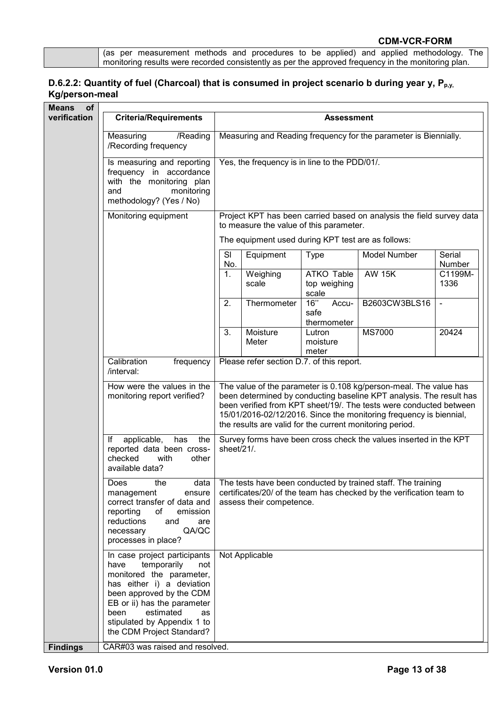|  | gas per measurement methods and procedures to be applied) and applied methodology. The              |  |  |  |  |  |
|--|-----------------------------------------------------------------------------------------------------|--|--|--|--|--|
|  | monitoring results were recorded consistently as per the approved frequency in the monitoring plan. |  |  |  |  |  |

# **D.6.2.2: Quantity of fuel (Charcoal) that is consumed in project scenario b during year y, P<sub>p,y,</sub> Kg/person-meal**

| of<br><b>Means</b> |                                                                                                                                                                                                                                                                       |                                                                                                                                                                                                                                                                                                                                                  |                                               |                                     |                                                                  |                  |  |  |
|--------------------|-----------------------------------------------------------------------------------------------------------------------------------------------------------------------------------------------------------------------------------------------------------------------|--------------------------------------------------------------------------------------------------------------------------------------------------------------------------------------------------------------------------------------------------------------------------------------------------------------------------------------------------|-----------------------------------------------|-------------------------------------|------------------------------------------------------------------|------------------|--|--|
| verification       | <b>Criteria/Requirements</b>                                                                                                                                                                                                                                          |                                                                                                                                                                                                                                                                                                                                                  |                                               | <b>Assessment</b>                   |                                                                  |                  |  |  |
|                    | Measuring<br>/Reading<br>/Recording frequency                                                                                                                                                                                                                         |                                                                                                                                                                                                                                                                                                                                                  |                                               |                                     | Measuring and Reading frequency for the parameter is Biennially. |                  |  |  |
|                    | Is measuring and reporting<br>frequency in accordance<br>with the monitoring plan<br>monitoring<br>and<br>methodology? (Yes / No)                                                                                                                                     |                                                                                                                                                                                                                                                                                                                                                  | Yes, the frequency is in line to the PDD/01/. |                                     |                                                                  |                  |  |  |
|                    | Monitoring equipment                                                                                                                                                                                                                                                  | Project KPT has been carried based on analysis the field survey data<br>to measure the value of this parameter.<br>The equipment used during KPT test are as follows:                                                                                                                                                                            |                                               |                                     |                                                                  |                  |  |  |
|                    |                                                                                                                                                                                                                                                                       |                                                                                                                                                                                                                                                                                                                                                  |                                               |                                     |                                                                  |                  |  |  |
|                    |                                                                                                                                                                                                                                                                       | SI<br>No.                                                                                                                                                                                                                                                                                                                                        | Equipment                                     | <b>Type</b>                         | Model Number                                                     | Serial<br>Number |  |  |
|                    |                                                                                                                                                                                                                                                                       | 1.                                                                                                                                                                                                                                                                                                                                               | Weighing<br>scale                             | ATKO Table<br>top weighing<br>scale | <b>AW 15K</b>                                                    | C1199M-<br>1336  |  |  |
|                    |                                                                                                                                                                                                                                                                       | 2.                                                                                                                                                                                                                                                                                                                                               | Thermometer                                   | 16"<br>Accu-<br>safe<br>thermometer | B2603CW3BLS16                                                    | $\blacksquare$   |  |  |
|                    |                                                                                                                                                                                                                                                                       | 3.                                                                                                                                                                                                                                                                                                                                               | Moisture<br>Meter                             | Lutron<br>moisture<br>meter         | <b>MS7000</b>                                                    | 20424            |  |  |
|                    | Calibration<br>frequency<br>/interval:                                                                                                                                                                                                                                |                                                                                                                                                                                                                                                                                                                                                  | Please refer section D.7. of this report.     |                                     |                                                                  |                  |  |  |
|                    | How were the values in the<br>monitoring report verified?                                                                                                                                                                                                             | The value of the parameter is 0.108 kg/person-meal. The value has<br>been determined by conducting baseline KPT analysis. The result has<br>been verified from KPT sheet/19/. The tests were conducted between<br>15/01/2016-02/12/2016. Since the monitoring frequency is biennial,<br>the results are valid for the current monitoring period. |                                               |                                     |                                                                  |                  |  |  |
|                    | applicable,<br>lf<br>has<br>the<br>reported data been cross-<br>checked<br>with<br>other<br>available data?                                                                                                                                                           | Survey forms have been cross check the values inserted in the KPT<br>sheet/21/.                                                                                                                                                                                                                                                                  |                                               |                                     |                                                                  |                  |  |  |
|                    | Does<br>the<br>data<br>management<br>ensure<br>correct transfer of data and<br>reporting<br>of<br>emission<br>reductions<br>and<br>are<br>QA/QC<br>necessary<br>processes in place?                                                                                   | The tests have been conducted by trained staff. The training<br>certificates/20/ of the team has checked by the verification team to<br>assess their competence.                                                                                                                                                                                 |                                               |                                     |                                                                  |                  |  |  |
|                    | In case project participants<br>temporarily<br>not<br>have<br>monitored the parameter,<br>has either i) a deviation<br>been approved by the CDM<br>EB or ii) has the parameter<br>estimated<br>been<br>as<br>stipulated by Appendix 1 to<br>the CDM Project Standard? |                                                                                                                                                                                                                                                                                                                                                  | Not Applicable                                |                                     |                                                                  |                  |  |  |
| <b>Findings</b>    | CAR#03 was raised and resolved.                                                                                                                                                                                                                                       |                                                                                                                                                                                                                                                                                                                                                  |                                               |                                     |                                                                  |                  |  |  |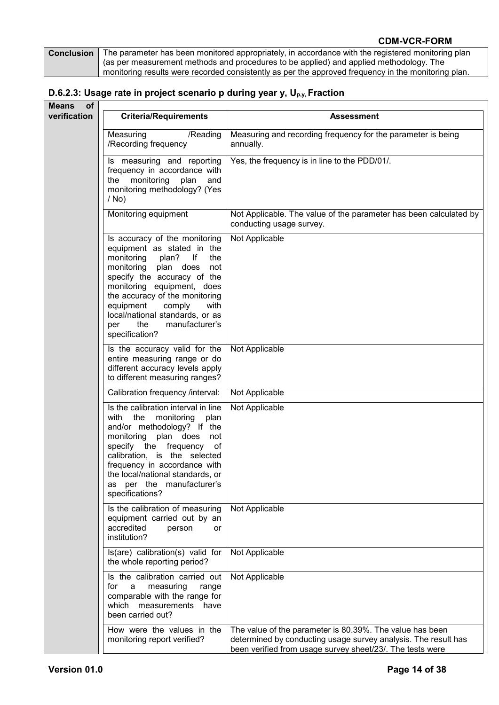| <b>Conclusion</b> The parameter has been monitored appropriately, in accordance with the registered monitoring plan |
|---------------------------------------------------------------------------------------------------------------------|
| (as per measurement methods and procedures to be applied) and applied methodology. The                              |
| monitoring results were recorded consistently as per the approved frequency in the monitoring plan.                 |

# **D.6.2.3: Usage rate in project scenario p during year y, Up,y, Fraction**

| <b>Means</b><br><b>of</b> |                                                                                                                                                                                                                                                                                                                                                   |                                                                                                                                                                                         |
|---------------------------|---------------------------------------------------------------------------------------------------------------------------------------------------------------------------------------------------------------------------------------------------------------------------------------------------------------------------------------------------|-----------------------------------------------------------------------------------------------------------------------------------------------------------------------------------------|
| verification              | <b>Criteria/Requirements</b>                                                                                                                                                                                                                                                                                                                      | Assessment                                                                                                                                                                              |
|                           | Measuring<br>/Reading<br>/Recording frequency                                                                                                                                                                                                                                                                                                     | Measuring and recording frequency for the parameter is being<br>annually.                                                                                                               |
|                           | Is measuring and reporting<br>frequency in accordance with<br>monitoring plan<br>the<br>and<br>monitoring methodology? (Yes<br>$/$ No)                                                                                                                                                                                                            | Yes, the frequency is in line to the PDD/01/.                                                                                                                                           |
|                           | Monitoring equipment                                                                                                                                                                                                                                                                                                                              | Not Applicable. The value of the parameter has been calculated by<br>conducting usage survey.                                                                                           |
|                           | Is accuracy of the monitoring<br>equipment as stated in the<br>monitoring<br>lf<br>plan?<br>the<br>monitoring plan does<br>not<br>specify the accuracy of the<br>monitoring equipment, does<br>the accuracy of the monitoring<br>equipment<br>comply<br>with<br>local/national standards, or as<br>manufacturer's<br>the<br>per<br>specification? | Not Applicable                                                                                                                                                                          |
|                           | Is the accuracy valid for the<br>entire measuring range or do<br>different accuracy levels apply<br>to different measuring ranges?                                                                                                                                                                                                                | Not Applicable                                                                                                                                                                          |
|                           | Calibration frequency /interval:                                                                                                                                                                                                                                                                                                                  | Not Applicable                                                                                                                                                                          |
|                           | Is the calibration interval in line<br>with<br>the<br>monitoring<br>plan<br>and/or methodology? If the<br>monitoring plan does<br>not<br>specify the frequency of<br>calibration, is the selected<br>frequency in accordance with<br>the local/national standards, or<br>as per the manufacturer's<br>specifications?                             | Not Applicable                                                                                                                                                                          |
|                           | Is the calibration of measuring<br>equipment carried out by an<br>accredited<br>person<br>or<br>institution?                                                                                                                                                                                                                                      | Not Applicable                                                                                                                                                                          |
|                           | Is(are) calibration(s) valid for<br>the whole reporting period?                                                                                                                                                                                                                                                                                   | Not Applicable                                                                                                                                                                          |
|                           | Is the calibration carried out<br>for<br>measuring<br>range<br>a<br>comparable with the range for<br>which measurements<br>have<br>been carried out?                                                                                                                                                                                              | Not Applicable                                                                                                                                                                          |
|                           | How were the values in the<br>monitoring report verified?                                                                                                                                                                                                                                                                                         | The value of the parameter is 80.39%. The value has been<br>determined by conducting usage survey analysis. The result has<br>been verified from usage survey sheet/23/. The tests were |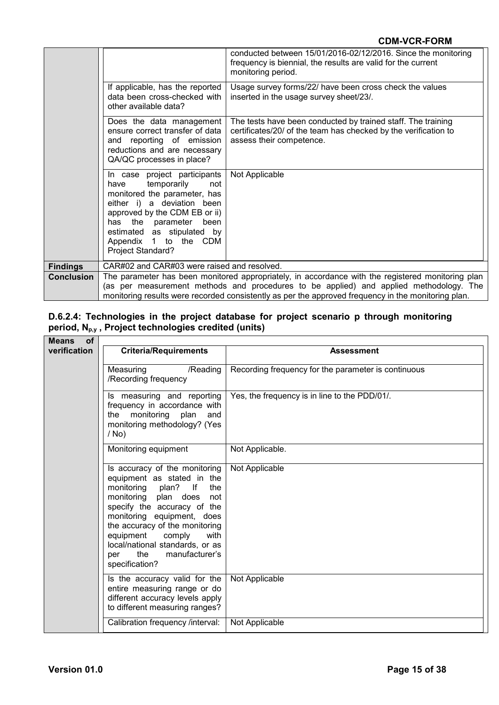|                   |                                                                                                                                                                                                                                                                       | conducted between 15/01/2016-02/12/2016. Since the monitoring<br>frequency is biennial, the results are valid for the current<br>monitoring period.         |  |  |
|-------------------|-----------------------------------------------------------------------------------------------------------------------------------------------------------------------------------------------------------------------------------------------------------------------|-------------------------------------------------------------------------------------------------------------------------------------------------------------|--|--|
|                   | If applicable, has the reported<br>data been cross-checked with<br>other available data?                                                                                                                                                                              | Usage survey forms/22/ have been cross check the values<br>inserted in the usage survey sheet/23/.                                                          |  |  |
|                   | Does the data management<br>ensure correct transfer of data<br>and reporting of emission<br>reductions and are necessary<br>QA/QC processes in place?                                                                                                                 | The tests have been conducted by trained staff. The training<br>certificates/20/ of the team has checked by the verification to<br>assess their competence. |  |  |
|                   | In case project participants<br>temporarily<br>not<br>have<br>monitored the parameter, has<br>either i) a deviation<br>been<br>approved by the CDM EB or ii)<br>has the parameter<br>been<br>estimated as stipulated by<br>Appendix 1 to the CDM<br>Project Standard? | Not Applicable                                                                                                                                              |  |  |
| <b>Findings</b>   | CAR#02 and CAR#03 were raised and resolved.                                                                                                                                                                                                                           |                                                                                                                                                             |  |  |
| <b>Conclusion</b> |                                                                                                                                                                                                                                                                       | The parameter has been monitored appropriately, in accordance with the registered monitoring plan                                                           |  |  |
|                   | (as per measurement methods and procedures to be applied) and applied methodology. The<br>monitoring results were recorded consistently as per the approved frequency in the monitoring plan.                                                                         |                                                                                                                                                             |  |  |

#### **D.6.2.4: Technologies in the project database for project scenario p through monitoring period, Np,y , Project technologies credited (units)**

| <b>Means</b><br><b>of</b> |                                                                                                                                                                                                                                                                                                                                                |                                                     |
|---------------------------|------------------------------------------------------------------------------------------------------------------------------------------------------------------------------------------------------------------------------------------------------------------------------------------------------------------------------------------------|-----------------------------------------------------|
| verification              | <b>Criteria/Requirements</b>                                                                                                                                                                                                                                                                                                                   | <b>Assessment</b>                                   |
|                           | /Reading<br>Measuring<br>/Recording frequency                                                                                                                                                                                                                                                                                                  | Recording frequency for the parameter is continuous |
|                           | Is measuring and reporting<br>frequency in accordance with<br>monitoring<br>plan<br>the<br>and<br>monitoring methodology? (Yes<br>$/$ No)                                                                                                                                                                                                      | Yes, the frequency is in line to the PDD/01/.       |
|                           | Monitoring equipment                                                                                                                                                                                                                                                                                                                           | Not Applicable.                                     |
|                           | Is accuracy of the monitoring<br>equipment as stated in the<br>monitoring plan?<br>lf<br>the<br>monitoring plan does<br>not<br>specify the accuracy of the<br>monitoring equipment, does<br>the accuracy of the monitoring<br>equipment<br>comply<br>with<br>local/national standards, or as<br>manufacturer's<br>the<br>per<br>specification? | Not Applicable                                      |
|                           | Is the accuracy valid for the<br>entire measuring range or do<br>different accuracy levels apply<br>to different measuring ranges?                                                                                                                                                                                                             | Not Applicable                                      |
|                           | Calibration frequency /interval:                                                                                                                                                                                                                                                                                                               | Not Applicable                                      |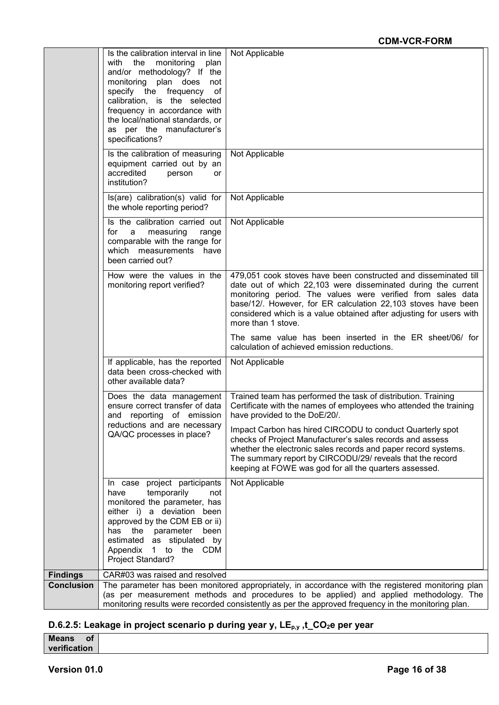|                   | Is the calibration interval in line<br>with<br>the<br>monitoring<br>plan<br>and/or methodology? If the<br>monitoring plan does<br>not                                                                                                                                          | Not Applicable                                                                                                                                                                                                                                                                                                                                                |
|-------------------|--------------------------------------------------------------------------------------------------------------------------------------------------------------------------------------------------------------------------------------------------------------------------------|---------------------------------------------------------------------------------------------------------------------------------------------------------------------------------------------------------------------------------------------------------------------------------------------------------------------------------------------------------------|
|                   | specify the frequency of<br>calibration, is the selected<br>frequency in accordance with<br>the local/national standards, or<br>as per the manufacturer's<br>specifications?                                                                                                   |                                                                                                                                                                                                                                                                                                                                                               |
|                   | Is the calibration of measuring<br>equipment carried out by an<br>accredited<br>person<br>or<br>institution?                                                                                                                                                                   | Not Applicable                                                                                                                                                                                                                                                                                                                                                |
|                   | $ls(are)$ calibration(s) valid for<br>the whole reporting period?                                                                                                                                                                                                              | Not Applicable                                                                                                                                                                                                                                                                                                                                                |
|                   | Is the calibration carried out<br>for a<br>measuring<br>range<br>comparable with the range for<br>which measurements have<br>been carried out?                                                                                                                                 | Not Applicable                                                                                                                                                                                                                                                                                                                                                |
|                   | How were the values in the<br>monitoring report verified?                                                                                                                                                                                                                      | 479,051 cook stoves have been constructed and disseminated till<br>date out of which 22,103 were disseminated during the current<br>monitoring period. The values were verified from sales data<br>base/12/. However, for ER calculation 22,103 stoves have been<br>considered which is a value obtained after adjusting for users with<br>more than 1 stove. |
|                   |                                                                                                                                                                                                                                                                                | The same value has been inserted in the ER sheet/06/ for<br>calculation of achieved emission reductions.                                                                                                                                                                                                                                                      |
|                   | If applicable, has the reported<br>data been cross-checked with<br>other available data?                                                                                                                                                                                       | Not Applicable                                                                                                                                                                                                                                                                                                                                                |
|                   | Does the data management<br>ensure correct transfer of data<br>and reporting of emission                                                                                                                                                                                       | Trained team has performed the task of distribution. Training<br>Certificate with the names of employees who attended the training<br>have provided to the DoE/20/.                                                                                                                                                                                           |
|                   | reductions and are necessary<br>QA/QC processes in place?                                                                                                                                                                                                                      | Impact Carbon has hired CIRCODU to conduct Quarterly spot<br>checks of Project Manufacturer's sales records and assess<br>whether the electronic sales records and paper record systems.<br>The summary report by CIRCODU/29/ reveals that the record<br>keeping at FOWE was god for all the quarters assessed.                                               |
|                   | In case project participants<br>temporarily<br>have<br>not<br>monitored the parameter, has<br>either i) a deviation been<br>approved by the CDM EB or ii)<br>has<br>the<br>parameter<br>been<br>estimated as stipulated<br>by<br>1 to the CDM<br>Appendix<br>Project Standard? | Not Applicable                                                                                                                                                                                                                                                                                                                                                |
| <b>Findings</b>   | CAR#03 was raised and resolved                                                                                                                                                                                                                                                 |                                                                                                                                                                                                                                                                                                                                                               |
| <b>Conclusion</b> |                                                                                                                                                                                                                                                                                | The parameter has been monitored appropriately, in accordance with the registered monitoring plan<br>(as per measurement methods and procedures to be applied) and applied methodology. The<br>monitoring results were recorded consistently as per the approved frequency in the monitoring plan.                                                            |

# D.6.2.5: Leakage in project scenario p during year y, LE<sub>p,y</sub>,t\_CO<sub>2</sub>e per year

| <b>Means</b><br>οf |  |
|--------------------|--|
| verification       |  |
|                    |  |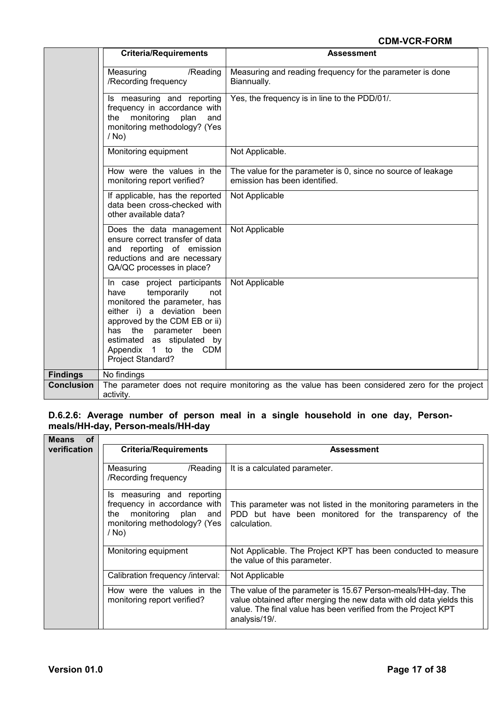|                   | <b>Criteria/Requirements</b>                                                                                                                                                                                                                                          | <b>Assessment</b>                                                                               |
|-------------------|-----------------------------------------------------------------------------------------------------------------------------------------------------------------------------------------------------------------------------------------------------------------------|-------------------------------------------------------------------------------------------------|
|                   | Measuring<br>/Reading<br>/Recording frequency                                                                                                                                                                                                                         | Measuring and reading frequency for the parameter is done<br>Biannually.                        |
|                   | Is measuring and reporting<br>frequency in accordance with<br>monitoring<br>plan<br>the<br>and<br>monitoring methodology? (Yes<br>$/$ No)                                                                                                                             | Yes, the frequency is in line to the PDD/01/.                                                   |
|                   | Monitoring equipment                                                                                                                                                                                                                                                  | Not Applicable.                                                                                 |
|                   | How were the values in the<br>monitoring report verified?                                                                                                                                                                                                             | The value for the parameter is 0, since no source of leakage<br>emission has been identified.   |
|                   | If applicable, has the reported<br>data been cross-checked with<br>other available data?                                                                                                                                                                              | Not Applicable                                                                                  |
|                   | Does the data management<br>ensure correct transfer of data<br>and reporting of emission<br>reductions and are necessary<br>QA/QC processes in place?                                                                                                                 | Not Applicable                                                                                  |
|                   | In case project participants<br>temporarily<br>have<br>not<br>monitored the parameter, has<br>either i) a deviation been<br>approved by the CDM EB or ii)<br>has the parameter<br>been<br>estimated as stipulated by<br>Appendix<br>1 to the CDM<br>Project Standard? | Not Applicable                                                                                  |
| <b>Findings</b>   | No findings                                                                                                                                                                                                                                                           |                                                                                                 |
| <b>Conclusion</b> | activity.                                                                                                                                                                                                                                                             | The parameter does not require monitoring as the value has been considered zero for the project |

# **D.6.2.6: Average number of person meal in a single household in one day, Personmeals/HH-day, Person-meals/HH-day**

| <b>of</b><br><b>Means</b> |                                                                                                                                     |                                                                                                                                                                                                                       |
|---------------------------|-------------------------------------------------------------------------------------------------------------------------------------|-----------------------------------------------------------------------------------------------------------------------------------------------------------------------------------------------------------------------|
| verification              | <b>Criteria/Requirements</b>                                                                                                        | <b>Assessment</b>                                                                                                                                                                                                     |
|                           | Measuring<br>/Reading<br>/Recording frequency                                                                                       | It is a calculated parameter.                                                                                                                                                                                         |
|                           | measuring and reporting<br>Is<br>frequency in accordance with<br>the monitoring plan and<br>monitoring methodology? (Yes<br>$/$ No) | This parameter was not listed in the monitoring parameters in the<br>PDD but have been monitored for the transparency of the<br>calculation.                                                                          |
|                           | Monitoring equipment                                                                                                                | Not Applicable. The Project KPT has been conducted to measure<br>the value of this parameter.                                                                                                                         |
|                           | Calibration frequency /interval:                                                                                                    | Not Applicable                                                                                                                                                                                                        |
|                           | How were the values in the<br>monitoring report verified?                                                                           | The value of the parameter is 15.67 Person-meals/HH-day. The<br>value obtained after merging the new data with old data yields this<br>value. The final value has been verified from the Project KPT<br>analysis/19/. |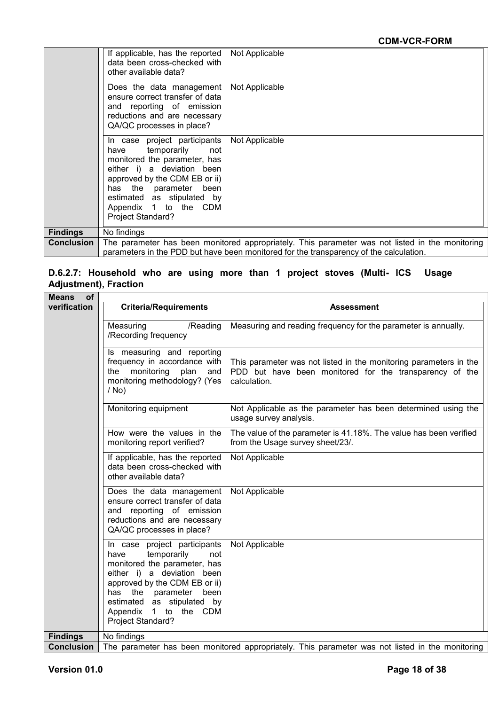|                   | If applicable, has the reported<br>data been cross-checked with<br>other available data?                                                                                                                                                                               | Not Applicable                                                                                                                                                                            |
|-------------------|------------------------------------------------------------------------------------------------------------------------------------------------------------------------------------------------------------------------------------------------------------------------|-------------------------------------------------------------------------------------------------------------------------------------------------------------------------------------------|
|                   | Does the data management<br>ensure correct transfer of data<br>and reporting of emission<br>reductions and are necessary<br>QA/QC processes in place?                                                                                                                  | Not Applicable                                                                                                                                                                            |
|                   | In case project participants<br>temporarily<br>have<br>not<br>monitored the parameter, has<br>either i) a deviation been<br>approved by the CDM EB or ii)<br>has the parameter been<br>estimated as stipulated by<br>Appendix 1 to the CDM<br><b>Project Standard?</b> | Not Applicable                                                                                                                                                                            |
| <b>Findings</b>   | No findings                                                                                                                                                                                                                                                            |                                                                                                                                                                                           |
| <b>Conclusion</b> |                                                                                                                                                                                                                                                                        | The parameter has been monitored appropriately. This parameter was not listed in the monitoring<br>parameters in the PDD but have been monitored for the transparency of the calculation. |

#### **D.6.2.7: Household who are using more than 1 project stoves (Multi- ICS Usage Adjustment), Fraction**

| <b>Means</b><br><b>of</b> |                                                                                                                                                                                                                                                                       |                                                                                                                                              |
|---------------------------|-----------------------------------------------------------------------------------------------------------------------------------------------------------------------------------------------------------------------------------------------------------------------|----------------------------------------------------------------------------------------------------------------------------------------------|
| verification              | <b>Criteria/Requirements</b>                                                                                                                                                                                                                                          | <b>Assessment</b>                                                                                                                            |
|                           | Measuring<br>/Reading<br>/Recording frequency                                                                                                                                                                                                                         | Measuring and reading frequency for the parameter is annually.                                                                               |
|                           | Is measuring and reporting<br>frequency in accordance with<br>monitoring<br>plan<br>the<br>and<br>monitoring methodology? (Yes<br>$/$ No)                                                                                                                             | This parameter was not listed in the monitoring parameters in the<br>PDD but have been monitored for the transparency of the<br>calculation. |
|                           | Monitoring equipment                                                                                                                                                                                                                                                  | Not Applicable as the parameter has been determined using the<br>usage survey analysis.                                                      |
|                           | How were the values in the<br>monitoring report verified?                                                                                                                                                                                                             | The value of the parameter is 41.18%. The value has been verified<br>from the Usage survey sheet/23/.                                        |
|                           | If applicable, has the reported<br>data been cross-checked with<br>other available data?                                                                                                                                                                              | Not Applicable                                                                                                                               |
|                           | Does the data management<br>ensure correct transfer of data<br>and reporting of emission<br>reductions and are necessary<br>QA/QC processes in place?                                                                                                                 | Not Applicable                                                                                                                               |
|                           | In case project participants<br>temporarily<br>have<br>not<br>monitored the parameter, has<br>either i) a deviation been<br>approved by the CDM EB or ii)<br>has the parameter<br>been<br>estimated as stipulated by<br>1 to the CDM<br>Appendix<br>Project Standard? | Not Applicable                                                                                                                               |
| <b>Findings</b>           | No findings                                                                                                                                                                                                                                                           |                                                                                                                                              |
| <b>Conclusion</b>         |                                                                                                                                                                                                                                                                       | The parameter has been monitored appropriately. This parameter was not listed in the monitoring                                              |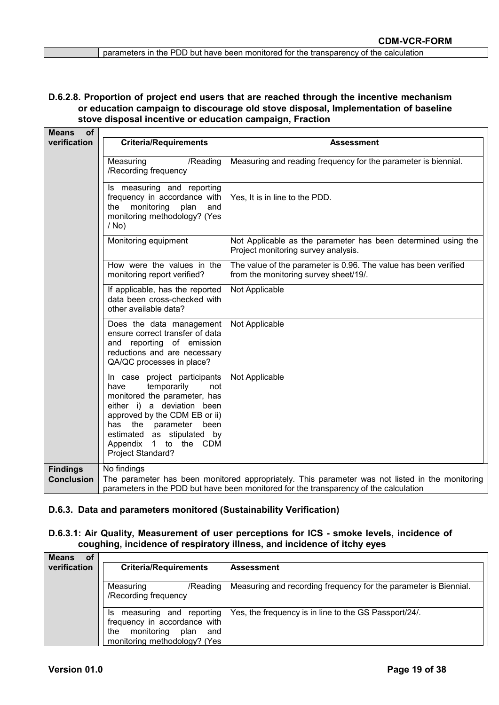#### **D.6.2.8. Proportion of project end users that are reached through the incentive mechanism or education campaign to discourage old stove disposal, Implementation of baseline stove disposal incentive or education campaign, Fraction**

| <b>Means</b><br><b>of</b> |                                                                                                                                                                                                                                                                       |                                                                                                                                                                                          |
|---------------------------|-----------------------------------------------------------------------------------------------------------------------------------------------------------------------------------------------------------------------------------------------------------------------|------------------------------------------------------------------------------------------------------------------------------------------------------------------------------------------|
| verification              | <b>Criteria/Requirements</b>                                                                                                                                                                                                                                          | <b>Assessment</b>                                                                                                                                                                        |
|                           | Measuring<br>/Reading<br>/Recording frequency                                                                                                                                                                                                                         | Measuring and reading frequency for the parameter is biennial.                                                                                                                           |
|                           | Is measuring and reporting<br>frequency in accordance with<br>monitoring<br>plan<br>the<br>and<br>monitoring methodology? (Yes<br>$/$ No)                                                                                                                             | Yes, It is in line to the PDD.                                                                                                                                                           |
|                           | Monitoring equipment                                                                                                                                                                                                                                                  | Not Applicable as the parameter has been determined using the<br>Project monitoring survey analysis.                                                                                     |
|                           | How were the values in the<br>monitoring report verified?                                                                                                                                                                                                             | The value of the parameter is 0.96. The value has been verified<br>from the monitoring survey sheet/19/.                                                                                 |
|                           | If applicable, has the reported<br>data been cross-checked with<br>other available data?                                                                                                                                                                              | Not Applicable                                                                                                                                                                           |
|                           | Does the data management<br>ensure correct transfer of data<br>and reporting of emission<br>reductions and are necessary<br>QA/QC processes in place?                                                                                                                 | Not Applicable                                                                                                                                                                           |
|                           | In case project participants<br>temporarily<br>have<br>not<br>monitored the parameter, has<br>either i) a deviation been<br>approved by the CDM EB or ii)<br>the parameter<br>has<br>been<br>estimated as stipulated by<br>Appendix 1 to the CDM<br>Project Standard? | Not Applicable                                                                                                                                                                           |
| <b>Findings</b>           | No findings                                                                                                                                                                                                                                                           |                                                                                                                                                                                          |
| <b>Conclusion</b>         |                                                                                                                                                                                                                                                                       | The parameter has been monitored appropriately. This parameter was not listed in the monitoring<br>parameters in the PDD but have been monitored for the transparency of the calculation |

#### **D.6.3. Data and parameters monitored (Sustainability Verification)**

#### **D.6.3.1: Air Quality, Measurement of user perceptions for ICS - smoke levels, incidence of coughing, incidence of respiratory illness, and incidence of itchy eyes**

| <b>Means</b><br>οf<br>verification | <b>Criteria/Requirements</b>                                                                                                      | <b>Assessment</b>                                                |
|------------------------------------|-----------------------------------------------------------------------------------------------------------------------------------|------------------------------------------------------------------|
|                                    | Measuring<br>/Reading<br>/Recording frequency                                                                                     | Measuring and recording frequency for the parameter is Biennial. |
|                                    | measuring and reporting<br>Is<br>frequency in accordance with<br>monitoring<br>the<br>plan<br>and<br>monitoring methodology? (Yes | Yes, the frequency is in line to the GS Passport/24/.            |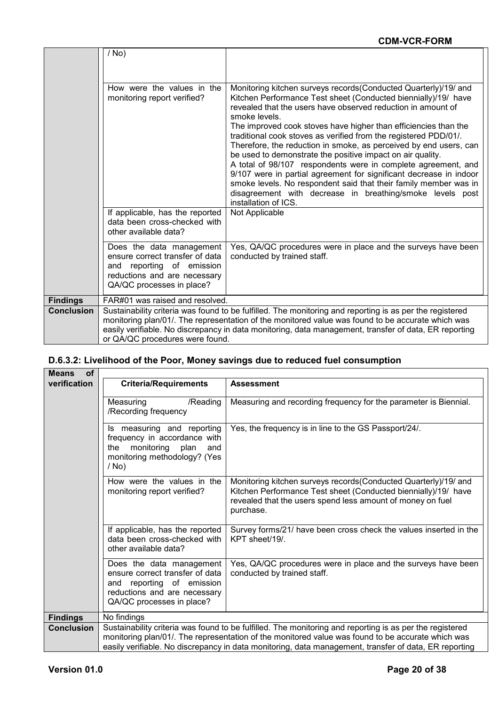|                   | $/$ No)                                                                                                                                                                                                                                                                                                                                                   |                                                                                                                                                                                                                                                                                                                                                                                                                                                                                                                                                                                                                                                                                                                                                                       |
|-------------------|-----------------------------------------------------------------------------------------------------------------------------------------------------------------------------------------------------------------------------------------------------------------------------------------------------------------------------------------------------------|-----------------------------------------------------------------------------------------------------------------------------------------------------------------------------------------------------------------------------------------------------------------------------------------------------------------------------------------------------------------------------------------------------------------------------------------------------------------------------------------------------------------------------------------------------------------------------------------------------------------------------------------------------------------------------------------------------------------------------------------------------------------------|
|                   |                                                                                                                                                                                                                                                                                                                                                           |                                                                                                                                                                                                                                                                                                                                                                                                                                                                                                                                                                                                                                                                                                                                                                       |
|                   | How were the values in the<br>monitoring report verified?                                                                                                                                                                                                                                                                                                 | Monitoring kitchen surveys records (Conducted Quarterly)/19/ and<br>Kitchen Performance Test sheet (Conducted biennially)/19/ have<br>revealed that the users have observed reduction in amount of<br>smoke levels.<br>The improved cook stoves have higher than efficiencies than the<br>traditional cook stoves as verified from the registered PDD/01/.<br>Therefore, the reduction in smoke, as perceived by end users, can<br>be used to demonstrate the positive impact on air quality.<br>A total of 98/107 respondents were in complete agreement, and<br>9/107 were in partial agreement for significant decrease in indoor<br>smoke levels. No respondent said that their family member was in<br>disagreement with decrease in breathing/smoke levels post |
|                   | If applicable, has the reported<br>data been cross-checked with<br>other available data?                                                                                                                                                                                                                                                                  | installation of ICS.<br>Not Applicable                                                                                                                                                                                                                                                                                                                                                                                                                                                                                                                                                                                                                                                                                                                                |
|                   | Does the data management<br>ensure correct transfer of data<br>and reporting of emission<br>reductions and are necessary<br>QA/QC processes in place?                                                                                                                                                                                                     | Yes, QA/QC procedures were in place and the surveys have been<br>conducted by trained staff.                                                                                                                                                                                                                                                                                                                                                                                                                                                                                                                                                                                                                                                                          |
| <b>Findings</b>   | FAR#01 was raised and resolved.                                                                                                                                                                                                                                                                                                                           |                                                                                                                                                                                                                                                                                                                                                                                                                                                                                                                                                                                                                                                                                                                                                                       |
| <b>Conclusion</b> | Sustainability criteria was found to be fulfilled. The monitoring and reporting is as per the registered<br>monitoring plan/01/. The representation of the monitored value was found to be accurate which was<br>easily verifiable. No discrepancy in data monitoring, data management, transfer of data, ER reporting<br>or QA/QC procedures were found. |                                                                                                                                                                                                                                                                                                                                                                                                                                                                                                                                                                                                                                                                                                                                                                       |

## **D.6.3.2: Livelihood of the Poor, Money savings due to reduced fuel consumption**

| <b>of</b><br><b>Means</b> |                                                                                                                                                       |                                                                                                                                                                                                               |
|---------------------------|-------------------------------------------------------------------------------------------------------------------------------------------------------|---------------------------------------------------------------------------------------------------------------------------------------------------------------------------------------------------------------|
| verification              | <b>Criteria/Requirements</b>                                                                                                                          | <b>Assessment</b>                                                                                                                                                                                             |
|                           | Measuring<br>/Reading<br>/Recording frequency                                                                                                         | Measuring and recording frequency for the parameter is Biennial.                                                                                                                                              |
|                           | Is measuring and reporting<br>frequency in accordance with<br>monitoring plan<br>the<br>and<br>monitoring methodology? (Yes<br>$/$ No)                | Yes, the frequency is in line to the GS Passport/24/.                                                                                                                                                         |
|                           | How were the values in the<br>monitoring report verified?                                                                                             | Monitoring kitchen surveys records (Conducted Quarterly)/19/ and<br>Kitchen Performance Test sheet (Conducted biennially)/19/ have<br>revealed that the users spend less amount of money on fuel<br>purchase. |
|                           | If applicable, has the reported<br>data been cross-checked with<br>other available data?                                                              | Survey forms/21/ have been cross check the values inserted in the<br>KPT sheet/19/.                                                                                                                           |
|                           | Does the data management<br>ensure correct transfer of data<br>and reporting of emission<br>reductions and are necessary<br>QA/QC processes in place? | Yes, QA/QC procedures were in place and the surveys have been<br>conducted by trained staff.                                                                                                                  |
| <b>Findings</b>           | No findings                                                                                                                                           |                                                                                                                                                                                                               |
| <b>Conclusion</b>         |                                                                                                                                                       | Sustainability criteria was found to be fulfilled. The monitoring and reporting is as per the registered                                                                                                      |
|                           |                                                                                                                                                       | monitoring plan/01/. The representation of the monitored value was found to be accurate which was                                                                                                             |
|                           |                                                                                                                                                       | easily verifiable. No discrepancy in data monitoring, data management, transfer of data, ER reporting                                                                                                         |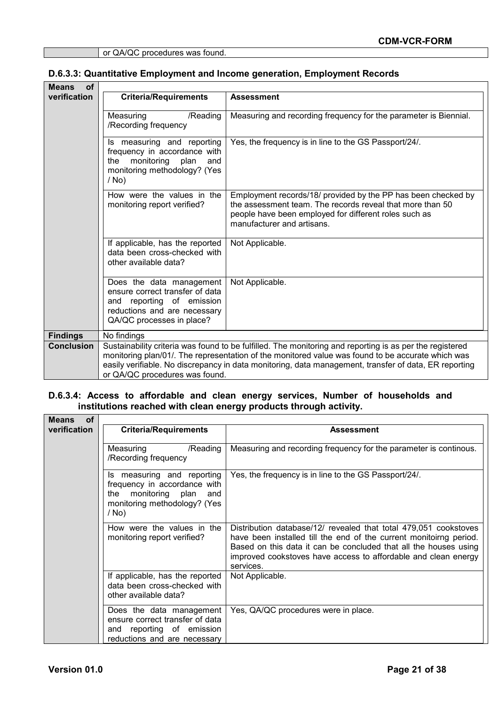#### **D.6.3.3: Quantitative Employment and Income generation, Employment Records**

| <b>of</b><br><b>Means</b> |                                                                                                                                                       |                                                                                                                                                                                                                                                                                                                        |
|---------------------------|-------------------------------------------------------------------------------------------------------------------------------------------------------|------------------------------------------------------------------------------------------------------------------------------------------------------------------------------------------------------------------------------------------------------------------------------------------------------------------------|
| verification              | <b>Criteria/Requirements</b>                                                                                                                          | <b>Assessment</b>                                                                                                                                                                                                                                                                                                      |
|                           |                                                                                                                                                       |                                                                                                                                                                                                                                                                                                                        |
|                           | Measuring<br>/Reading                                                                                                                                 | Measuring and recording frequency for the parameter is Biennial.                                                                                                                                                                                                                                                       |
|                           | /Recording frequency                                                                                                                                  |                                                                                                                                                                                                                                                                                                                        |
|                           | Is measuring and reporting<br>frequency in accordance with<br>monitoring<br>the<br>plan<br>and<br>monitoring methodology? (Yes<br>$/$ No)             | Yes, the frequency is in line to the GS Passport/24/.                                                                                                                                                                                                                                                                  |
|                           | How were the values in the<br>monitoring report verified?                                                                                             | Employment records/18/ provided by the PP has been checked by<br>the assessment team. The records reveal that more than 50<br>people have been employed for different roles such as<br>manufacturer and artisans.                                                                                                      |
|                           | If applicable, has the reported<br>data been cross-checked with<br>other available data?                                                              | Not Applicable.                                                                                                                                                                                                                                                                                                        |
|                           | Does the data management<br>ensure correct transfer of data<br>and reporting of emission<br>reductions and are necessary<br>QA/QC processes in place? | Not Applicable.                                                                                                                                                                                                                                                                                                        |
| <b>Findings</b>           | No findings                                                                                                                                           |                                                                                                                                                                                                                                                                                                                        |
| <b>Conclusion</b>         | or QA/QC procedures was found.                                                                                                                        | Sustainability criteria was found to be fulfilled. The monitoring and reporting is as per the registered<br>monitoring plan/01/. The representation of the monitored value was found to be accurate which was<br>easily verifiable. No discrepancy in data monitoring, data management, transfer of data, ER reporting |

#### **D.6.3.4: Access to affordable and clean energy services, Number of households and institutions reached with clean energy products through activity.**

| <b>Means</b><br><b>of</b> |                                                                                                                                            |                                                                                                                                                                                                                                                                                           |
|---------------------------|--------------------------------------------------------------------------------------------------------------------------------------------|-------------------------------------------------------------------------------------------------------------------------------------------------------------------------------------------------------------------------------------------------------------------------------------------|
| verification              | <b>Criteria/Requirements</b>                                                                                                               | <b>Assessment</b>                                                                                                                                                                                                                                                                         |
|                           | /Reading<br>Measuring<br>/Recording frequency                                                                                              | Measuring and recording frequency for the parameter is continous.                                                                                                                                                                                                                         |
|                           | measuring and reporting<br>Is.<br>frequency in accordance with<br>monitoring plan<br>the<br>and<br>monitoring methodology? (Yes<br>$/$ No) | Yes, the frequency is in line to the GS Passport/24/.                                                                                                                                                                                                                                     |
|                           | How were the values in the<br>monitoring report verified?                                                                                  | Distribution database/12/ revealed that total 479,051 cookstoves<br>have been installed till the end of the current monitoirng period.<br>Based on this data it can be concluded that all the houses using<br>improved cookstoves have access to affordable and clean energy<br>services. |
|                           | If applicable, has the reported<br>data been cross-checked with<br>other available data?                                                   | Not Applicable.                                                                                                                                                                                                                                                                           |
|                           | Does the data management<br>ensure correct transfer of data<br>and reporting of emission<br>reductions and are necessary                   | Yes, QA/QC procedures were in place.                                                                                                                                                                                                                                                      |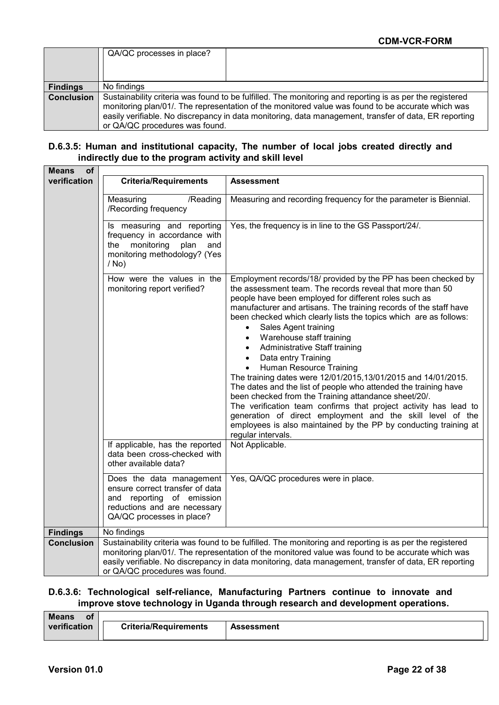|                   | QA/QC processes in place?                                                                                                                                                                                                                                                                                                                                |  |
|-------------------|----------------------------------------------------------------------------------------------------------------------------------------------------------------------------------------------------------------------------------------------------------------------------------------------------------------------------------------------------------|--|
|                   |                                                                                                                                                                                                                                                                                                                                                          |  |
| <b>Findings</b>   | No findings                                                                                                                                                                                                                                                                                                                                              |  |
|                   |                                                                                                                                                                                                                                                                                                                                                          |  |
|                   |                                                                                                                                                                                                                                                                                                                                                          |  |
|                   |                                                                                                                                                                                                                                                                                                                                                          |  |
|                   |                                                                                                                                                                                                                                                                                                                                                          |  |
|                   |                                                                                                                                                                                                                                                                                                                                                          |  |
| <b>Conclusion</b> | Sustainability criteria was found to be fulfilled. The monitoring and reporting is as per the registered<br>monitoring plan/01/. The representation of the monitored value was found to be accurate which was<br>easily verifiable. No discrepancy in data monitoring, data management, transfer of data, ER reporting<br>or QA/QC procedures was found. |  |

#### **D.6.3.5: Human and institutional capacity, The number of local jobs created directly and indirectly due to the program activity and skill level**

| <b>Means</b><br><b>of</b> |                                                                                                                                                       |                                                                                                                                                                                                                                                                                                                                                                                                                                                                                                                                                                                                                                                                                                                                                                                                                                                                                                                               |
|---------------------------|-------------------------------------------------------------------------------------------------------------------------------------------------------|-------------------------------------------------------------------------------------------------------------------------------------------------------------------------------------------------------------------------------------------------------------------------------------------------------------------------------------------------------------------------------------------------------------------------------------------------------------------------------------------------------------------------------------------------------------------------------------------------------------------------------------------------------------------------------------------------------------------------------------------------------------------------------------------------------------------------------------------------------------------------------------------------------------------------------|
| verification              | <b>Criteria/Requirements</b>                                                                                                                          | <b>Assessment</b>                                                                                                                                                                                                                                                                                                                                                                                                                                                                                                                                                                                                                                                                                                                                                                                                                                                                                                             |
|                           | Measuring<br>/Reading<br>/Recording frequency                                                                                                         | Measuring and recording frequency for the parameter is Biennial.                                                                                                                                                                                                                                                                                                                                                                                                                                                                                                                                                                                                                                                                                                                                                                                                                                                              |
|                           | Is measuring and reporting<br>frequency in accordance with<br>monitoring<br>plan<br>the<br>and<br>monitoring methodology? (Yes<br>$/$ No)             | Yes, the frequency is in line to the GS Passport/24/.                                                                                                                                                                                                                                                                                                                                                                                                                                                                                                                                                                                                                                                                                                                                                                                                                                                                         |
|                           | How were the values in the<br>monitoring report verified?                                                                                             | Employment records/18/ provided by the PP has been checked by<br>the assessment team. The records reveal that more than 50<br>people have been employed for different roles such as<br>manufacturer and artisans. The training records of the staff have<br>been checked which clearly lists the topics which are as follows:<br>Sales Agent training<br>Warehouse staff training<br>$\bullet$<br><b>Administrative Staff training</b><br>Data entry Training<br>Human Resource Training<br>$\bullet$<br>The training dates were 12/01/2015,13/01/2015 and 14/01/2015.<br>The dates and the list of people who attended the training have<br>been checked from the Training attandance sheet/20/.<br>The verification team confirms that project activity has lead to<br>generation of direct employment and the skill level of the<br>employees is also maintained by the PP by conducting training at<br>regular intervals. |
|                           | If applicable, has the reported<br>data been cross-checked with<br>other available data?                                                              | Not Applicable.                                                                                                                                                                                                                                                                                                                                                                                                                                                                                                                                                                                                                                                                                                                                                                                                                                                                                                               |
|                           | Does the data management<br>ensure correct transfer of data<br>and reporting of emission<br>reductions and are necessary<br>QA/QC processes in place? | Yes, QA/QC procedures were in place.                                                                                                                                                                                                                                                                                                                                                                                                                                                                                                                                                                                                                                                                                                                                                                                                                                                                                          |
| <b>Findings</b>           | No findings                                                                                                                                           |                                                                                                                                                                                                                                                                                                                                                                                                                                                                                                                                                                                                                                                                                                                                                                                                                                                                                                                               |
| <b>Conclusion</b>         | or QA/QC procedures was found.                                                                                                                        | Sustainability criteria was found to be fulfilled. The monitoring and reporting is as per the registered<br>monitoring plan/01/. The representation of the monitored value was found to be accurate which was<br>easily verifiable. No discrepancy in data monitoring, data management, transfer of data, ER reporting                                                                                                                                                                                                                                                                                                                                                                                                                                                                                                                                                                                                        |

## **D.6.3.6: Technological self-reliance, Manufacturing Partners continue to innovate and improve stove technology in Uganda through research and development operations.**

| <b>Means</b><br><b>of</b> |                              |                   |
|---------------------------|------------------------------|-------------------|
| verification              | <b>Criteria/Requirements</b> | <b>Assessment</b> |
|                           |                              |                   |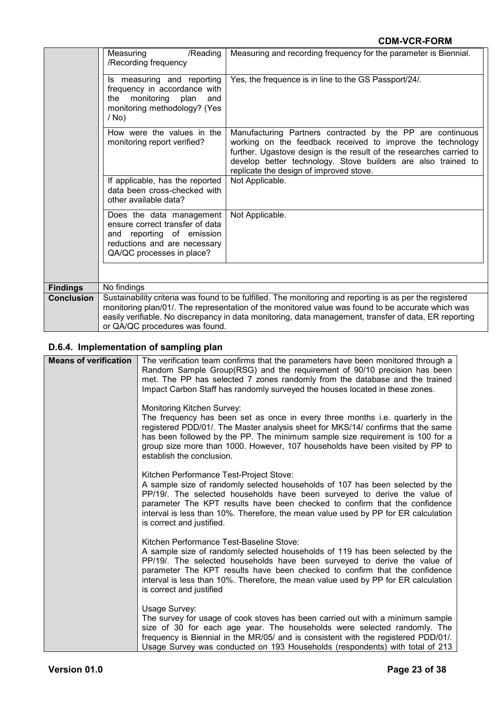|                   | /Reading<br>Measuring<br>/Recording frequency                                                                                                         | Measuring and recording frequency for the parameter is Biennial.                                                                                                                                                                                                                                                       |
|-------------------|-------------------------------------------------------------------------------------------------------------------------------------------------------|------------------------------------------------------------------------------------------------------------------------------------------------------------------------------------------------------------------------------------------------------------------------------------------------------------------------|
|                   | Is measuring and reporting<br>frequency in accordance with<br>the monitoring plan<br>and<br>monitoring methodology? (Yes<br>$/$ No)                   | Yes, the frequence is in line to the GS Passport/24/.                                                                                                                                                                                                                                                                  |
|                   | How were the values in the<br>monitoring report verified?                                                                                             | Manufacturing Partners contracted by the PP are continuous<br>working on the feedback received to improve the technology<br>further. Ugastove design is the result of the researches carried to<br>develop better technology. Stove builders are also trained to<br>replicate the design of improved stove.            |
|                   | If applicable, has the reported<br>data been cross-checked with<br>other available data?                                                              | Not Applicable.                                                                                                                                                                                                                                                                                                        |
|                   | Does the data management<br>ensure correct transfer of data<br>and reporting of emission<br>reductions and are necessary<br>QA/QC processes in place? | Not Applicable.                                                                                                                                                                                                                                                                                                        |
|                   |                                                                                                                                                       |                                                                                                                                                                                                                                                                                                                        |
| <b>Findings</b>   | No findings                                                                                                                                           |                                                                                                                                                                                                                                                                                                                        |
| <b>Conclusion</b> | or QA/QC procedures was found.                                                                                                                        | Sustainability criteria was found to be fulfilled. The monitoring and reporting is as per the registered<br>monitoring plan/01/. The representation of the monitored value was found to be accurate which was<br>easily verifiable. No discrepancy in data monitoring, data management, transfer of data, ER reporting |

# **D.6.4. Implementation of sampling plan**

| <b>Means of verification</b> | The verification team confirms that the parameters have been monitored through a<br>Random Sample Group(RSG) and the requirement of 90/10 precision has been<br>met. The PP has selected 7 zones randomly from the database and the trained                                                                                                                                                            |
|------------------------------|--------------------------------------------------------------------------------------------------------------------------------------------------------------------------------------------------------------------------------------------------------------------------------------------------------------------------------------------------------------------------------------------------------|
|                              | Impact Carbon Staff has randomly surveyed the houses located in these zones.                                                                                                                                                                                                                                                                                                                           |
|                              | <b>Monitoring Kitchen Survey:</b><br>The frequency has been set as once in every three months i.e. quarterly in the<br>registered PDD/01/. The Master analysis sheet for MKS/14/ confirms that the same<br>has been followed by the PP. The minimum sample size requirement is 100 for a<br>group size more than 1000. However, 107 households have been visited by PP to<br>establish the conclusion. |
|                              | Kitchen Performance Test-Project Stove:<br>A sample size of randomly selected households of 107 has been selected by the<br>PP/19/. The selected households have been surveyed to derive the value of<br>parameter The KPT results have been checked to confirm that the confidence<br>interval is less than 10%. Therefore, the mean value used by PP for ER calculation<br>is correct and justified. |
|                              | Kitchen Performance Test-Baseline Stove:<br>A sample size of randomly selected households of 119 has been selected by the<br>PP/19/. The selected households have been surveyed to derive the value of<br>parameter The KPT results have been checked to confirm that the confidence<br>interval is less than 10%. Therefore, the mean value used by PP for ER calculation<br>is correct and justified |
|                              | Usage Survey:<br>The survey for usage of cook stoves has been carried out with a minimum sample<br>size of 30 for each age year. The households were selected randomly. The<br>frequency is Biennial in the MR/05/ and is consistent with the registered PDD/01/.<br>Usage Survey was conducted on 193 Households (respondents) with total of 213                                                      |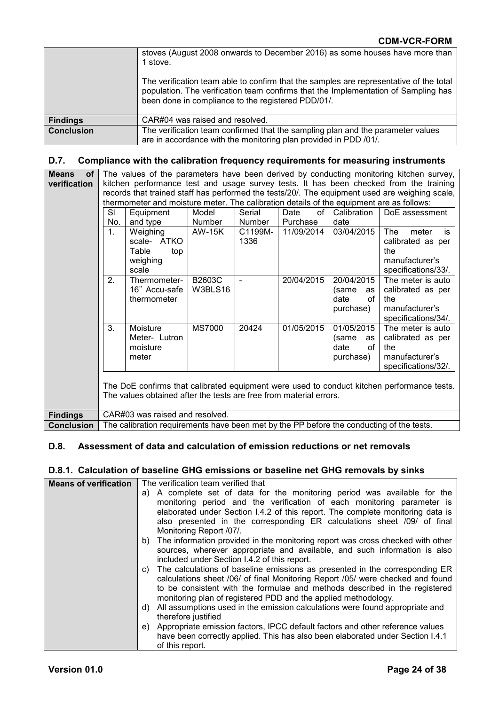|                   | stoves (August 2008 onwards to December 2016) as some houses have more than<br>1 stove.<br>The verification team able to confirm that the samples are representative of the total<br>population. The verification team confirms that the Implementation of Sampling has<br>been done in compliance to the registered PDD/01/. |
|-------------------|-------------------------------------------------------------------------------------------------------------------------------------------------------------------------------------------------------------------------------------------------------------------------------------------------------------------------------|
| <b>Findings</b>   | CAR#04 was raised and resolved.                                                                                                                                                                                                                                                                                               |
| <b>Conclusion</b> | The verification team confirmed that the sampling plan and the parameter values<br>are in accordance with the monitoring plan provided in PDD /01/.                                                                                                                                                                           |

#### **D.7. Compliance with the calibration frequency requirements for measuring instruments**

**Means of verification** The values of the parameters have been derived by conducting monitoring kitchen survey, kitchen performance test and usage survey tests. It has been checked from the training records that trained staff has performed the tests/20/. The equipment used are weighing scale, thermometer and moisture meter. The calibration details of the equipment are as follows:

|                                                                                                                                                                  | SI                                                                                       | Equipment                                                    | Model             | Serial          | Date<br>of | Calibration                                          | DoE assessment                                                                          |
|------------------------------------------------------------------------------------------------------------------------------------------------------------------|------------------------------------------------------------------------------------------|--------------------------------------------------------------|-------------------|-----------------|------------|------------------------------------------------------|-----------------------------------------------------------------------------------------|
|                                                                                                                                                                  | No.                                                                                      | and type                                                     | <b>Number</b>     | <b>Number</b>   | Purchase   | date                                                 |                                                                                         |
|                                                                                                                                                                  | 1.                                                                                       | Weighing<br>scale- ATKO<br>Table<br>top<br>weighing<br>scale | <b>AW-15K</b>     | C1199M-<br>1336 | 11/09/2014 | 03/04/2015                                           | The<br>is<br>meter<br>calibrated as per<br>the<br>manufacturer's<br>specifications/33/. |
|                                                                                                                                                                  | 2.                                                                                       | Thermometer-<br>16" Accu-safe<br>thermometer                 | B2603C<br>W3BLS16 |                 | 20/04/2015 | 20/04/2015<br>(same<br>as<br>date<br>οf<br>purchase) | The meter is auto<br>calibrated as per<br>the<br>manufacturer's<br>specifications/34/.  |
|                                                                                                                                                                  | 3.                                                                                       | Moisture<br>Meter-Lutron<br>moisture<br>meter                | <b>MS7000</b>     | 20424           | 01/05/2015 | 01/05/2015<br>(same<br>as<br>date<br>of<br>purchase) | The meter is auto<br>calibrated as per<br>the<br>manufacturer's<br>specifications/32/.  |
| The DoE confirms that calibrated equipment were used to conduct kitchen performance tests.<br>The values obtained after the tests are free from material errors. |                                                                                          |                                                              |                   |                 |            |                                                      |                                                                                         |
| <b>Findings</b>                                                                                                                                                  | CAR#03 was raised and resolved.                                                          |                                                              |                   |                 |            |                                                      |                                                                                         |
| <b>Conclusion</b>                                                                                                                                                | The calibration requirements have been met by the PP before the conducting of the tests. |                                                              |                   |                 |            |                                                      |                                                                                         |

#### **D.8. Assessment of data and calculation of emission reductions or net removals**

#### **D.8.1. Calculation of baseline GHG emissions or baseline net GHG removals by sinks**

| <b>Means of verification</b> | The verification team verified that                                                                                                                                                                                                                                                                                 |
|------------------------------|---------------------------------------------------------------------------------------------------------------------------------------------------------------------------------------------------------------------------------------------------------------------------------------------------------------------|
|                              | a) A complete set of data for the monitoring period was available for the<br>monitoring period and the verification of each monitoring parameter is<br>elaborated under Section 1.4.2 of this report. The complete monitoring data is                                                                               |
|                              | also presented in the corresponding ER calculations sheet /09/ of final<br>Monitoring Report /07/.                                                                                                                                                                                                                  |
|                              | The information provided in the monitoring report was cross checked with other<br>b)<br>sources, wherever appropriate and available, and such information is also<br>included under Section I.4.2 of this report.                                                                                                   |
|                              | The calculations of baseline emissions as presented in the corresponding ER<br>C)<br>calculations sheet /06/ of final Monitoring Report /05/ were checked and found<br>to be consistent with the formulae and methods described in the registered<br>monitoring plan of registered PDD and the applied methodology. |
|                              | All assumptions used in the emission calculations were found appropriate and<br>d)<br>therefore justified                                                                                                                                                                                                           |
|                              | Appropriate emission factors, IPCC default factors and other reference values<br>e)<br>have been correctly applied. This has also been elaborated under Section I.4.1<br>of this report.                                                                                                                            |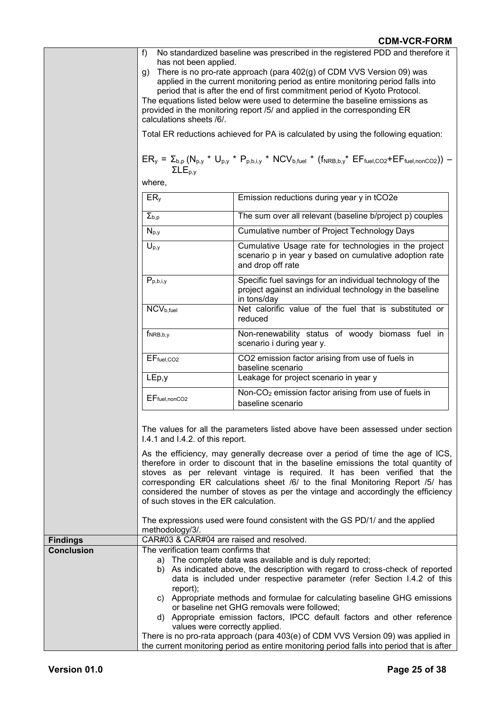|                   | $f$ )<br>No standardized baseline was prescribed in the registered PDD and therefore it                                                                   |                                                                                                                                      |  |  |  |
|-------------------|-----------------------------------------------------------------------------------------------------------------------------------------------------------|--------------------------------------------------------------------------------------------------------------------------------------|--|--|--|
|                   | has not been applied.<br>There is no pro-rate approach (para 402(g) of CDM VVS Version 09) was<br>g)                                                      |                                                                                                                                      |  |  |  |
|                   | applied in the current monitoring period as entire monitoring period falls into                                                                           |                                                                                                                                      |  |  |  |
|                   | period that is after the end of first commitment period of Kyoto Protocol.                                                                                |                                                                                                                                      |  |  |  |
|                   | The equations listed below were used to determine the baseline emissions as                                                                               |                                                                                                                                      |  |  |  |
|                   | provided in the monitoring report /5/ and applied in the corresponding ER                                                                                 |                                                                                                                                      |  |  |  |
|                   | calculations sheets /6/.                                                                                                                                  |                                                                                                                                      |  |  |  |
|                   | Total ER reductions achieved for PA is calculated by using the following equation:                                                                        |                                                                                                                                      |  |  |  |
|                   | $ER_y = \sum_{b,p} (N_{p,y} * U_{p,y} * P_{p,b,i,y} * NCV_{b,fuel} * (f_{NRB,b,y} * EF_{fuel,CO2} + EF_{fuel,nonCO2})) -$<br>$\Sigma$ L $E_{p,v}$         |                                                                                                                                      |  |  |  |
|                   | where,                                                                                                                                                    |                                                                                                                                      |  |  |  |
|                   | ER <sub>y</sub>                                                                                                                                           | Emission reductions during year y in tCO2e                                                                                           |  |  |  |
|                   | $\Sigma_{b,p}$                                                                                                                                            | The sum over all relevant (baseline b/project p) couples                                                                             |  |  |  |
|                   | $N_{p,y}$                                                                                                                                                 | Cumulative number of Project Technology Days                                                                                         |  |  |  |
|                   | $U_{p,y}$                                                                                                                                                 | Cumulative Usage rate for technologies in the project<br>scenario p in year y based on cumulative adoption rate<br>and drop off rate |  |  |  |
|                   |                                                                                                                                                           | Specific fuel savings for an individual technology of the                                                                            |  |  |  |
|                   | $P_{p,b,i,y}$                                                                                                                                             | project against an individual technology in the baseline<br>in tons/day                                                              |  |  |  |
|                   | NCV <sub>b,fuel</sub>                                                                                                                                     | Net calorific value of the fuel that is substituted or<br>reduced                                                                    |  |  |  |
|                   | $f_{NRB,b,y}$                                                                                                                                             | Non-renewability status of woody biomass fuel in<br>scenario i during year y.                                                        |  |  |  |
|                   | $EF_{fuel,CO2}$                                                                                                                                           | CO2 emission factor arising from use of fuels in<br>baseline scenario                                                                |  |  |  |
|                   | LEp, y                                                                                                                                                    | Leakage for project scenario in year y                                                                                               |  |  |  |
|                   | $EF_{fuel, nonCO2}$                                                                                                                                       | Non-CO <sub>2</sub> emission factor arising from use of fuels in<br>baseline scenario                                                |  |  |  |
|                   |                                                                                                                                                           |                                                                                                                                      |  |  |  |
|                   | The values for all the parameters listed above have been assessed under section                                                                           |                                                                                                                                      |  |  |  |
|                   | I.4.1 and I.4.2. of this report.                                                                                                                          |                                                                                                                                      |  |  |  |
|                   | As the efficiency, may generally decrease over a period of time the age of ICS,                                                                           |                                                                                                                                      |  |  |  |
|                   | therefore in order to discount that in the baseline emissions the total quantity of                                                                       |                                                                                                                                      |  |  |  |
|                   | stoves as per relevant vintage is required. It has been verified that the                                                                                 |                                                                                                                                      |  |  |  |
|                   | corresponding ER calculations sheet /6/ to the final Monitoring Report /5/ has                                                                            |                                                                                                                                      |  |  |  |
|                   | considered the number of stoves as per the vintage and accordingly the efficiency<br>of such stoves in the ER calculation.                                |                                                                                                                                      |  |  |  |
|                   | methodology/3/.                                                                                                                                           | The expressions used were found consistent with the GS PD/1/ and the applied                                                         |  |  |  |
| <b>Findings</b>   | CAR#03 & CAR#04 are raised and resolved.                                                                                                                  |                                                                                                                                      |  |  |  |
| <b>Conclusion</b> | The verification team confirms that                                                                                                                       |                                                                                                                                      |  |  |  |
|                   | a) The complete data was available and is duly reported;                                                                                                  |                                                                                                                                      |  |  |  |
|                   | b) As indicated above, the description with regard to cross-check of reported<br>data is included under respective parameter (refer Section I.4.2 of this |                                                                                                                                      |  |  |  |
|                   | report);                                                                                                                                                  | c) Appropriate methods and formulae for calculating baseline GHG emissions<br>or baseline net GHG removals were followed;            |  |  |  |
|                   | values were correctly applied.                                                                                                                            | d) Appropriate emission factors, IPCC default factors and other reference                                                            |  |  |  |
|                   |                                                                                                                                                           | There is no pro-rata approach (para 403(e) of CDM VVS Version 09) was applied in                                                     |  |  |  |
|                   | the current monitoring period as entire monitoring period falls into period that is after                                                                 |                                                                                                                                      |  |  |  |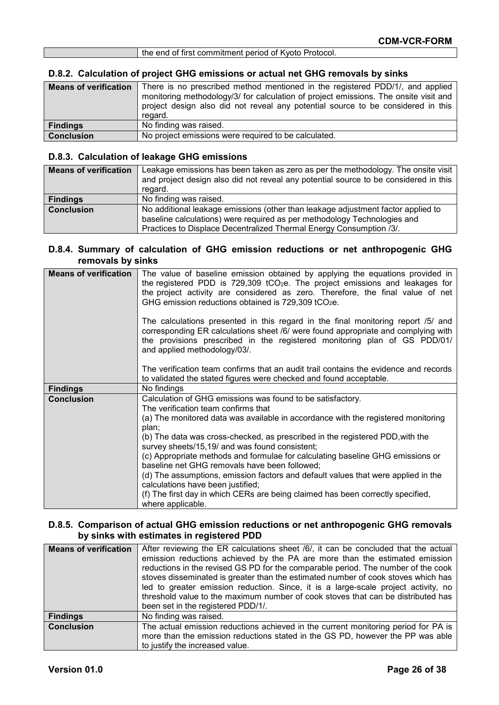| the end of first commitment period of Kyoto Protocol. |
|-------------------------------------------------------|
|                                                       |

# **D.8.2. Calculation of project GHG emissions or actual net GHG removals by sinks**

| <b>Means of verification</b> | There is no prescribed method mentioned in the registered PDD/1/, and applied<br>monitoring methodology/3/ for calculation of project emissions. The onsite visit and<br>project design also did not reveal any potential source to be considered in this<br>regard. |
|------------------------------|----------------------------------------------------------------------------------------------------------------------------------------------------------------------------------------------------------------------------------------------------------------------|
| <b>Findings</b>              | No finding was raised.                                                                                                                                                                                                                                               |
| <b>Conclusion</b>            | No project emissions were required to be calculated.                                                                                                                                                                                                                 |

#### **D.8.3. Calculation of leakage GHG emissions**

| <b>Means of verification</b> | Leakage emissions has been taken as zero as per the methodology. The onsite visit<br>and project design also did not reveal any potential source to be considered in this |
|------------------------------|---------------------------------------------------------------------------------------------------------------------------------------------------------------------------|
|                              | regard.                                                                                                                                                                   |
| <b>Findings</b>              | No finding was raised.                                                                                                                                                    |
| <b>Conclusion</b>            | No additional leakage emissions (other than leakage adjustment factor applied to                                                                                          |
|                              | baseline calculations) were required as per methodology Technologies and                                                                                                  |
|                              | Practices to Displace Decentralized Thermal Energy Consumption /3/.                                                                                                       |

#### **D.8.4. Summary of calculation of GHG emission reductions or net anthropogenic GHG removals by sinks**

| <b>Means of verification</b> | The value of baseline emission obtained by applying the equations provided in<br>the registered PDD is 729,309 tCO <sub>2</sub> e. The project emissions and leakages for<br>the project activity are considered as zero. Therefore, the final value of net<br>GHG emission reductions obtained is 729,309 tCO <sub>2</sub> e. |
|------------------------------|--------------------------------------------------------------------------------------------------------------------------------------------------------------------------------------------------------------------------------------------------------------------------------------------------------------------------------|
|                              | The calculations presented in this regard in the final monitoring report /5/ and<br>corresponding ER calculations sheet /6/ were found appropriate and complying with<br>the provisions prescribed in the registered monitoring plan of GS PDD/01/<br>and applied methodology/03/.                                             |
|                              | The verification team confirms that an audit trail contains the evidence and records<br>to validated the stated figures were checked and found acceptable.                                                                                                                                                                     |
| <b>Findings</b>              | No findings                                                                                                                                                                                                                                                                                                                    |
| <b>Conclusion</b>            | Calculation of GHG emissions was found to be satisfactory.<br>The verification team confirms that                                                                                                                                                                                                                              |
|                              | (a) The monitored data was available in accordance with the registered monitoring<br>plan;                                                                                                                                                                                                                                     |
|                              | (b) The data was cross-checked, as prescribed in the registered PDD, with the<br>survey sheets/15,19/ and was found consistent;                                                                                                                                                                                                |
|                              | (c) Appropriate methods and formulae for calculating baseline GHG emissions or<br>baseline net GHG removals have been followed;                                                                                                                                                                                                |
|                              | (d) The assumptions, emission factors and default values that were applied in the<br>calculations have been justified;                                                                                                                                                                                                         |
|                              | (f) The first day in which CERs are being claimed has been correctly specified,<br>where applicable.                                                                                                                                                                                                                           |

#### **D.8.5. Comparison of actual GHG emission reductions or net anthropogenic GHG removals by sinks with estimates in registered PDD**

| <b>Means of verification</b> | After reviewing the ER calculations sheet /6/, it can be concluded that the actual<br>emission reductions achieved by the PA are more than the estimated emission<br>reductions in the revised GS PD for the comparable period. The number of the cook<br>stoves disseminated is greater than the estimated number of cook stoves which has<br>led to greater emission reduction. Since, it is a large-scale project activity, no<br>threshold value to the maximum number of cook stoves that can be distributed has<br>been set in the registered PDD/1/. |
|------------------------------|-------------------------------------------------------------------------------------------------------------------------------------------------------------------------------------------------------------------------------------------------------------------------------------------------------------------------------------------------------------------------------------------------------------------------------------------------------------------------------------------------------------------------------------------------------------|
| <b>Findings</b>              | No finding was raised.                                                                                                                                                                                                                                                                                                                                                                                                                                                                                                                                      |
| <b>Conclusion</b>            | The actual emission reductions achieved in the current monitoring period for PA is<br>more than the emission reductions stated in the GS PD, however the PP was able<br>to justify the increased value.                                                                                                                                                                                                                                                                                                                                                     |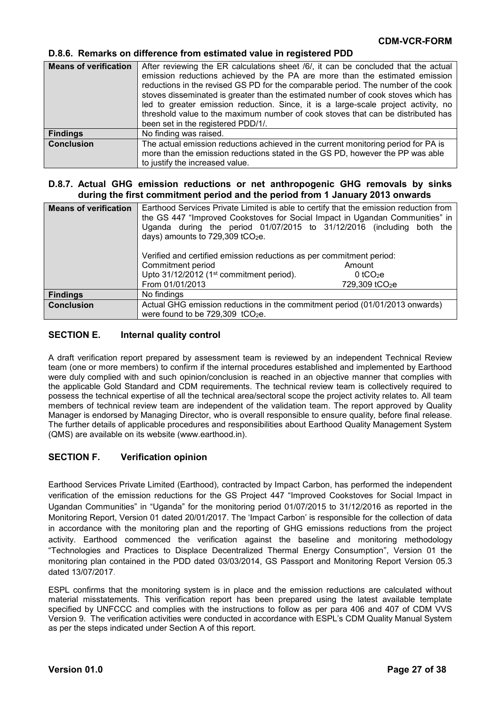#### **D.8.6. Remarks on difference from estimated value in registered PDD**

| <b>Means of verification</b> | After reviewing the ER calculations sheet /6/, it can be concluded that the actual<br>emission reductions achieved by the PA are more than the estimated emission<br>reductions in the revised GS PD for the comparable period. The number of the cook<br>stoves disseminated is greater than the estimated number of cook stoves which has<br>led to greater emission reduction. Since, it is a large-scale project activity, no<br>threshold value to the maximum number of cook stoves that can be distributed has<br>been set in the registered PDD/1/. |
|------------------------------|-------------------------------------------------------------------------------------------------------------------------------------------------------------------------------------------------------------------------------------------------------------------------------------------------------------------------------------------------------------------------------------------------------------------------------------------------------------------------------------------------------------------------------------------------------------|
| <b>Findings</b>              | No finding was raised.                                                                                                                                                                                                                                                                                                                                                                                                                                                                                                                                      |
| <b>Conclusion</b>            | The actual emission reductions achieved in the current monitoring period for PA is<br>more than the emission reductions stated in the GS PD, however the PP was able<br>to justify the increased value.                                                                                                                                                                                                                                                                                                                                                     |

#### **D.8.7. Actual GHG emission reductions or net anthropogenic GHG removals by sinks during the first commitment period and the period from 1 January 2013 onwards**

| <b>Means of verification</b> | Earthood Services Private Limited is able to certify that the emission reduction from<br>the GS 447 "Improved Cookstoves for Social Impact in Ugandan Communities" in<br>Uganda during the period 01/07/2015 to 31/12/2016 (including both the<br>days) amounts to 729,309 tCO2e.<br>Verified and certified emission reductions as per commitment period:<br>Commitment period<br>Upto 31/12/2012 (1 <sup>st</sup> commitment period).<br>From 01/01/2013 | Amount<br>0 tCO <sub>2</sub> e<br>729,309 tCO <sub>2</sub> e |
|------------------------------|-----------------------------------------------------------------------------------------------------------------------------------------------------------------------------------------------------------------------------------------------------------------------------------------------------------------------------------------------------------------------------------------------------------------------------------------------------------|--------------------------------------------------------------|
| <b>Findings</b>              | No findings                                                                                                                                                                                                                                                                                                                                                                                                                                               |                                                              |
| <b>Conclusion</b>            | Actual GHG emission reductions in the commitment period (01/01/2013 onwards)<br>were found to be 729,309 tCO <sub>2</sub> e.                                                                                                                                                                                                                                                                                                                              |                                                              |

#### **SECTION E. Internal quality control**

A draft verification report prepared by assessment team is reviewed by an independent Technical Review team (one or more members) to confirm if the internal procedures established and implemented by Earthood were duly complied with and such opinion/conclusion is reached in an objective manner that complies with the applicable Gold Standard and CDM requirements. The technical review team is collectively required to possess the technical expertise of all the technical area/sectoral scope the project activity relates to. All team members of technical review team are independent of the validation team. The report approved by Quality Manager is endorsed by Managing Director, who is overall responsible to ensure quality, before final release. The further details of applicable procedures and responsibilities about Earthood Quality Management System (QMS) are available on its website (www.earthood.in).

#### **SECTION F. Verification opinion**

Earthood Services Private Limited (Earthood), contracted by Impact Carbon, has performed the independent verification of the emission reductions for the GS Project 447 "Improved Cookstoves for Social Impact in Ugandan Communities" in "Uganda" for the monitoring period 01/07/2015 to 31/12/2016 as reported in the Monitoring Report, Version 01 dated 20/01/2017. The 'Impact Carbon' is responsible for the collection of data in accordance with the monitoring plan and the reporting of GHG emissions reductions from the project activity. Earthood commenced the verification against the baseline and monitoring methodology "Technologies and Practices to Displace Decentralized Thermal Energy Consumption", Version 01 the monitoring plan contained in the PDD dated 03/03/2014, GS Passport and Monitoring Report Version 05.3 dated 13/07/2017.

ESPL confirms that the monitoring system is in place and the emission reductions are calculated without material misstatements. This verification report has been prepared using the latest available template specified by UNFCCC and complies with the instructions to follow as per para 406 and 407 of CDM VVS Version 9. The verification activities were conducted in accordance with ESPL's CDM Quality Manual System as per the steps indicated under Section A of this report.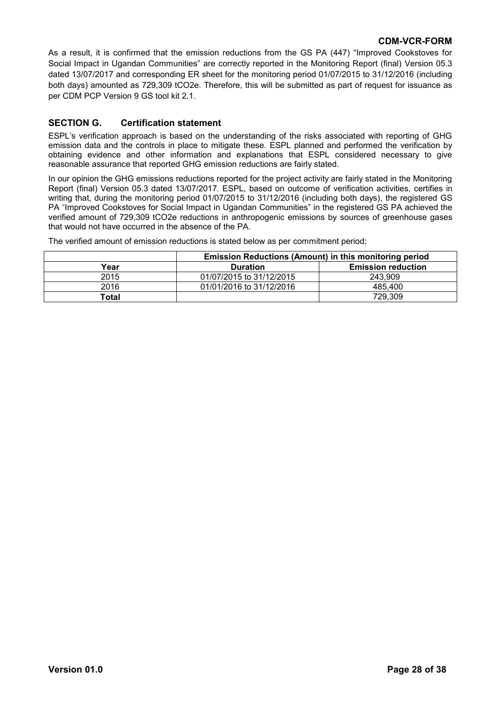As a result, it is confirmed that the emission reductions from the GS PA (447) "Improved Cookstoves for Social Impact in Ugandan Communities" are correctly reported in the Monitoring Report (final) Version 05.3 dated 13/07/2017 and corresponding ER sheet for the monitoring period 01/07/2015 to 31/12/2016 (including both days) amounted as 729,309 tCO2e. Therefore, this will be submitted as part of request for issuance as per CDM PCP Version 9 GS tool kit 2.1.

#### **SECTION G. Certification statement**

ESPL's verification approach is based on the understanding of the risks associated with reporting of GHG emission data and the controls in place to mitigate these. ESPL planned and performed the verification by obtaining evidence and other information and explanations that ESPL considered necessary to give reasonable assurance that reported GHG emission reductions are fairly stated.

In our opinion the GHG emissions reductions reported for the project activity are fairly stated in the Monitoring Report (final) Version 05.3 dated 13/07/2017. ESPL, based on outcome of verification activities, certifies in writing that, during the monitoring period 01/07/2015 to 31/12/2016 (including both days), the registered GS PA "Improved Cookstoves for Social Impact in Ugandan Communities" in the registered GS PA achieved the verified amount of 729,309 tCO2e reductions in anthropogenic emissions by sources of greenhouse gases that would not have occurred in the absence of the PA.

The verified amount of emission reductions is stated below as per commitment period;

|       | <b>Emission Reductions (Amount) in this monitoring period</b> |                           |  |  |
|-------|---------------------------------------------------------------|---------------------------|--|--|
| Year  | <b>Duration</b>                                               | <b>Emission reduction</b> |  |  |
| 2015  | 01/07/2015 to 31/12/2015                                      | 243.909                   |  |  |
| 2016  | 01/01/2016 to 31/12/2016                                      | 485.400                   |  |  |
| Total |                                                               | 729,309                   |  |  |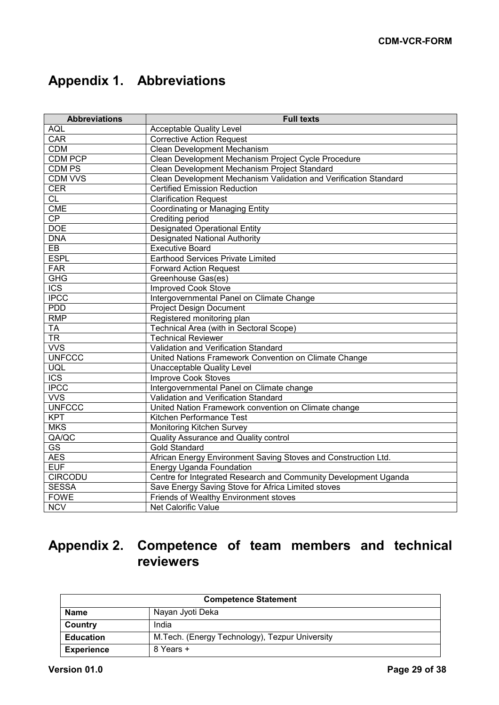# **Appendix 1. Abbreviations**

| <b>Abbreviations</b>    | <b>Full texts</b>                                                |
|-------------------------|------------------------------------------------------------------|
| <b>AQL</b>              | <b>Acceptable Quality Level</b>                                  |
| <b>CAR</b>              | <b>Corrective Action Request</b>                                 |
| <b>CDM</b>              | <b>Clean Development Mechanism</b>                               |
| CDM PCP                 | Clean Development Mechanism Project Cycle Procedure              |
| <b>CDM PS</b>           | Clean Development Mechanism Project Standard                     |
| <b>CDM VVS</b>          | Clean Development Mechanism Validation and Verification Standard |
| <b>CER</b>              | <b>Certified Emission Reduction</b>                              |
| <b>CL</b>               | <b>Clarification Request</b>                                     |
| <b>CME</b>              | <b>Coordinating or Managing Entity</b>                           |
| $\overline{CP}$         | Crediting period                                                 |
| <b>DOE</b>              | <b>Designated Operational Entity</b>                             |
| <b>DNA</b>              | <b>Designated National Authority</b>                             |
| $\overline{EB}$         | <b>Executive Board</b>                                           |
| <b>ESPL</b>             | Earthood Services Private Limited                                |
| FAR                     | <b>Forward Action Request</b>                                    |
| <b>GHG</b>              | Greenhouse Gas(es)                                               |
| <b>ICS</b>              | <b>Improved Cook Stove</b>                                       |
| <b>IPCC</b>             | Intergovernmental Panel on Climate Change                        |
| <b>PDD</b>              | <b>Project Design Document</b>                                   |
| <b>RMP</b>              | Registered monitoring plan                                       |
| <b>TA</b>               | Technical Area (with in Sectoral Scope)                          |
| $\overline{\text{TR}}$  | <b>Technical Reviewer</b>                                        |
| <b>WS</b>               | Validation and Verification Standard                             |
| <b>UNFCCC</b>           | United Nations Framework Convention on Climate Change            |
| UQL                     | <b>Unacceptable Quality Level</b>                                |
| $\overline{\text{ICS}}$ | <b>Improve Cook Stoves</b>                                       |
| <b>IPCC</b>             | Intergovernmental Panel on Climate change                        |
| <b>VVS</b>              | Validation and Verification Standard                             |
| <b>UNFCCC</b>           | United Nation Framework convention on Climate change             |
| <b>KPT</b>              | Kitchen Performance Test                                         |
| <b>MKS</b>              | Monitoring Kitchen Survey                                        |
| QA/QC                   | Quality Assurance and Quality control                            |
| <b>GS</b>               | <b>Gold Standard</b>                                             |
| <b>AES</b>              | African Energy Environment Saving Stoves and Construction Ltd.   |
| <b>EUF</b>              | Energy Uganda Foundation                                         |
| <b>CIRCODU</b>          | Centre for Integrated Research and Community Development Uganda  |
| <b>SESSA</b>            | Save Energy Saving Stove for Africa Limited stoves               |
| <b>FOWE</b>             | Friends of Wealthy Environment stoves                            |
| <b>NCV</b>              | <b>Net Calorific Value</b>                                       |

# **Appendix 2. Competence of team members and technical reviewers**

| <b>Competence Statement</b> |                                                 |  |
|-----------------------------|-------------------------------------------------|--|
| <b>Name</b>                 | Nayan Jyoti Deka                                |  |
| Country                     | India                                           |  |
| <b>Education</b>            | M. Tech. (Energy Technology), Tezpur University |  |
| <b>Experience</b>           | 8 Years +                                       |  |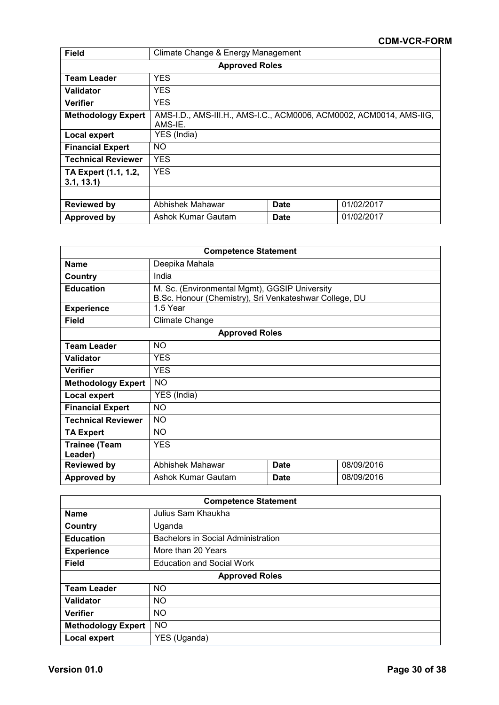| Field                              | Climate Change & Energy Management                                             |             |            |  |
|------------------------------------|--------------------------------------------------------------------------------|-------------|------------|--|
|                                    | <b>Approved Roles</b>                                                          |             |            |  |
| <b>Team Leader</b>                 | <b>YES</b>                                                                     |             |            |  |
| Validator                          | <b>YES</b>                                                                     |             |            |  |
| <b>Verifier</b>                    | <b>YES</b>                                                                     |             |            |  |
| <b>Methodology Expert</b>          | AMS-I.D., AMS-III.H., AMS-I.C., ACM0006, ACM0002, ACM0014, AMS-IIG,<br>AMS-IE. |             |            |  |
| <b>Local expert</b>                | YES (India)                                                                    |             |            |  |
| <b>Financial Expert</b>            | NO.                                                                            |             |            |  |
| <b>Technical Reviewer</b>          | <b>YES</b>                                                                     |             |            |  |
| TA Expert (1.1, 1.2,<br>3.1, 13.1) | <b>YES</b>                                                                     |             |            |  |
|                                    |                                                                                |             |            |  |
| <b>Reviewed by</b>                 | Abhishek Mahawar                                                               | <b>Date</b> | 01/02/2017 |  |
| Approved by                        | Ashok Kumar Gautam                                                             | <b>Date</b> | 01/02/2017 |  |

| <b>Competence Statement</b>     |                       |                                                                                                         |            |  |
|---------------------------------|-----------------------|---------------------------------------------------------------------------------------------------------|------------|--|
| <b>Name</b>                     | Deepika Mahala        |                                                                                                         |            |  |
| Country                         | India                 |                                                                                                         |            |  |
| <b>Education</b>                |                       | M. Sc. (Environmental Mgmt), GGSIP University<br>B.Sc. Honour (Chemistry), Sri Venkateshwar College, DU |            |  |
| <b>Experience</b>               | 1.5 Year              |                                                                                                         |            |  |
| <b>Field</b>                    | Climate Change        |                                                                                                         |            |  |
|                                 | <b>Approved Roles</b> |                                                                                                         |            |  |
| <b>Team Leader</b>              | <b>NO</b>             |                                                                                                         |            |  |
| Validator                       | <b>YES</b>            |                                                                                                         |            |  |
| Verifier                        | <b>YES</b>            |                                                                                                         |            |  |
| <b>Methodology Expert</b>       | <b>NO</b>             |                                                                                                         |            |  |
| Local expert                    | YES (India)           |                                                                                                         |            |  |
| <b>Financial Expert</b>         | <b>NO</b>             |                                                                                                         |            |  |
| <b>Technical Reviewer</b>       | <b>NO</b>             |                                                                                                         |            |  |
| <b>TA Expert</b>                | NO.                   |                                                                                                         |            |  |
| <b>Trainee (Team</b><br>Leader) | <b>YES</b>            |                                                                                                         |            |  |
| <b>Reviewed by</b>              | Abhishek Mahawar      | <b>Date</b>                                                                                             | 08/09/2016 |  |
| <b>Approved by</b>              | Ashok Kumar Gautam    | <b>Date</b>                                                                                             | 08/09/2016 |  |

| <b>Competence Statement</b> |                                    |  |
|-----------------------------|------------------------------------|--|
| <b>Name</b>                 | Julius Sam Khaukha                 |  |
| Country                     | Uganda                             |  |
| <b>Education</b>            | Bachelors in Social Administration |  |
| <b>Experience</b>           | More than 20 Years                 |  |
| <b>Field</b>                | <b>Education and Social Work</b>   |  |
|                             | <b>Approved Roles</b>              |  |
| <b>Team Leader</b>          | <b>NO</b>                          |  |
| Validator                   | <b>NO</b>                          |  |
| <b>Verifier</b>             | <b>NO</b>                          |  |
| <b>Methodology Expert</b>   | NO.                                |  |
| Local expert                | YES (Uganda)                       |  |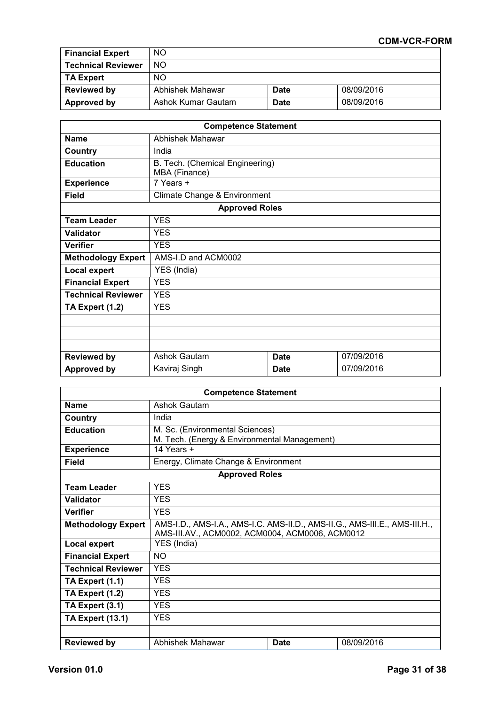| <b>Financial Expert</b>   | <b>NO</b>          |             |            |
|---------------------------|--------------------|-------------|------------|
| <b>Technical Reviewer</b> | NO.                |             |            |
| <b>TA Expert</b>          | <b>NO</b>          |             |            |
| <b>Reviewed by</b>        | Abhishek Mahawar   | <b>Date</b> | 08/09/2016 |
| Approved by               | Ashok Kumar Gautam | <b>Date</b> | 08/09/2016 |

| <b>Competence Statement</b> |                                 |             |            |  |
|-----------------------------|---------------------------------|-------------|------------|--|
| <b>Name</b>                 | Abhishek Mahawar                |             |            |  |
| Country                     | India                           |             |            |  |
| <b>Education</b>            | B. Tech. (Chemical Engineering) |             |            |  |
|                             | MBA (Finance)                   |             |            |  |
| <b>Experience</b>           | $7$ Years $+$                   |             |            |  |
| <b>Field</b>                | Climate Change & Environment    |             |            |  |
|                             | <b>Approved Roles</b>           |             |            |  |
| <b>Team Leader</b>          | <b>YES</b>                      |             |            |  |
| <b>Validator</b>            | <b>YES</b>                      |             |            |  |
| <b>Verifier</b>             | <b>YES</b>                      |             |            |  |
| <b>Methodology Expert</b>   | AMS-I.D and ACM0002             |             |            |  |
| <b>Local expert</b>         | YES (India)                     |             |            |  |
| <b>Financial Expert</b>     | <b>YES</b>                      |             |            |  |
| <b>Technical Reviewer</b>   | <b>YES</b>                      |             |            |  |
| TA Expert (1.2)             | <b>YES</b>                      |             |            |  |
|                             |                                 |             |            |  |
|                             |                                 |             |            |  |
|                             |                                 |             |            |  |
| <b>Reviewed by</b>          | <b>Ashok Gautam</b>             | <b>Date</b> | 07/09/2016 |  |
| <b>Approved by</b>          | Kaviraj Singh                   | <b>Date</b> | 07/09/2016 |  |

| <b>Competence Statement</b> |                                                                                                                               |             |            |  |
|-----------------------------|-------------------------------------------------------------------------------------------------------------------------------|-------------|------------|--|
| <b>Name</b>                 | <b>Ashok Gautam</b>                                                                                                           |             |            |  |
| Country                     | India                                                                                                                         |             |            |  |
| <b>Education</b>            | M. Sc. (Environmental Sciences)<br>M. Tech. (Energy & Environmental Management)                                               |             |            |  |
| <b>Experience</b>           | 14 Years $+$                                                                                                                  |             |            |  |
| Field                       | Energy, Climate Change & Environment                                                                                          |             |            |  |
|                             | <b>Approved Roles</b>                                                                                                         |             |            |  |
| <b>Team Leader</b>          | <b>YES</b>                                                                                                                    |             |            |  |
| <b>Validator</b>            | <b>YES</b>                                                                                                                    |             |            |  |
| <b>Verifier</b>             | <b>YES</b>                                                                                                                    |             |            |  |
| <b>Methodology Expert</b>   | AMS-I.D., AMS-I.A., AMS-I.C. AMS-II.D., AMS-II.G., AMS-III.E., AMS-III.H.,<br>AMS-III.AV., ACM0002, ACM0004, ACM0006, ACM0012 |             |            |  |
| <b>Local expert</b>         | YES (India)                                                                                                                   |             |            |  |
| <b>Financial Expert</b>     | <b>NO</b>                                                                                                                     |             |            |  |
| <b>Technical Reviewer</b>   | <b>YES</b>                                                                                                                    |             |            |  |
| TA Expert (1.1)             | <b>YES</b>                                                                                                                    |             |            |  |
| TA Expert (1.2)             | <b>YES</b>                                                                                                                    |             |            |  |
| TA Expert (3.1)             | <b>YES</b>                                                                                                                    |             |            |  |
| <b>TA Expert (13.1)</b>     | <b>YES</b>                                                                                                                    |             |            |  |
|                             |                                                                                                                               |             |            |  |
| <b>Reviewed by</b>          | Abhishek Mahawar                                                                                                              | <b>Date</b> | 08/09/2016 |  |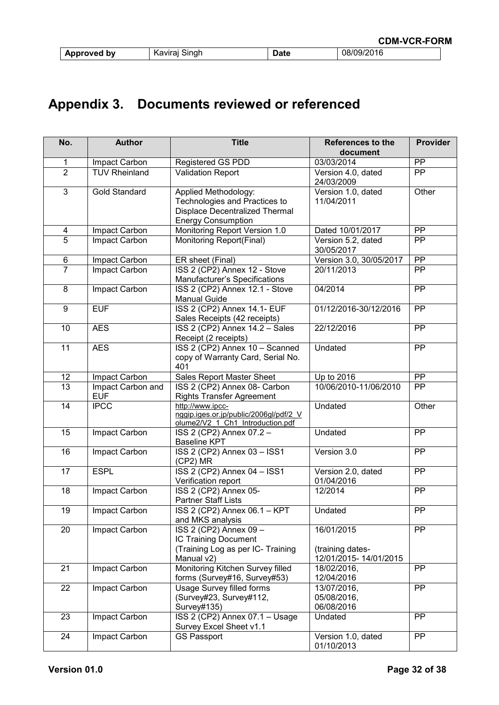| Approved by | sınar<br>`avıra∟<br>к<br>้ง | uw | <i>31</i> ∠∪<br>. |
|-------------|-----------------------------|----|-------------------|

# **Appendix 3. Documents reviewed or referenced**

| No.             | <b>Author</b>                   | <b>Title</b>                                                                                                                | <b>References to the</b>                                | Provider        |
|-----------------|---------------------------------|-----------------------------------------------------------------------------------------------------------------------------|---------------------------------------------------------|-----------------|
|                 |                                 |                                                                                                                             | document                                                |                 |
| 1               | Impact Carbon                   | <b>Registered GS PDD</b>                                                                                                    | 03/03/2014                                              | PP              |
| $\overline{2}$  | <b>TUV Rheinland</b>            | <b>Validation Report</b>                                                                                                    | Version 4.0, dated<br>24/03/2009                        | <b>PP</b>       |
| 3               | Gold Standard                   | Applied Methodology:<br>Technologies and Practices to<br><b>Displace Decentralized Thermal</b><br><b>Energy Consumption</b> | Version 1.0, dated<br>11/04/2011                        | Other           |
| 4               | Impact Carbon                   | Monitoring Report Version 1.0                                                                                               | Dated 10/01/2017                                        | <b>PP</b>       |
| $\overline{5}$  | Impact Carbon                   | Monitoring Report(Final)                                                                                                    | Version 5.2, dated<br>30/05/2017                        | PP              |
| 6               | Impact Carbon                   | ER sheet (Final)                                                                                                            | Version 3.0, 30/05/2017                                 | PP              |
| $\overline{7}$  | Impact Carbon                   | ISS 2 (CP2) Annex 12 - Stove<br>Manufacturer's Specifications                                                               | 20/11/2013                                              | $\overline{PP}$ |
| 8               | Impact Carbon                   | ISS 2 (CP2) Annex 12.1 - Stove<br><b>Manual Guide</b>                                                                       | 04/2014                                                 | PP              |
| 9               | <b>EUF</b>                      | ISS 2 (CP2) Annex 14.1- EUF<br>Sales Receipts (42 receipts)                                                                 | 01/12/2016-30/12/2016                                   | PP              |
| 10              | <b>AES</b>                      | ISS 2 (CP2) Annex 14.2 - Sales<br>Receipt (2 receipts)                                                                      | 22/12/2016                                              | PP              |
| 11              | <b>AES</b>                      | ISS 2 (CP2) Annex 10 - Scanned<br>copy of Warranty Card, Serial No.<br>401                                                  | Undated                                                 | PP              |
| 12              | Impact Carbon                   | Sales Report Master Sheet                                                                                                   | Up to 2016                                              | $\overline{PP}$ |
| 13              | Impact Carbon and<br><b>EUF</b> | ISS 2 (CP2) Annex 08- Carbon<br><b>Rights Transfer Agreement</b>                                                            | 10/06/2010-11/06/2010                                   | PP              |
| $\overline{14}$ | <b>IPCC</b>                     | http://www.ipcc-<br>nggip.iges.or.jp/public/2006gl/pdf/2 V<br>olume2/V2_1_Ch1_Introduction.pdf                              | Undated                                                 | Other           |
| 15              | Impact Carbon                   | ISS 2 (CP2) Annex 07.2 -<br><b>Baseline KPT</b>                                                                             | Undated                                                 | PP              |
| 16              | Impact Carbon                   | ISS 2 (CP2) Annex 03 - ISS1<br>(CP2) MR                                                                                     | Version 3.0                                             | PP              |
| 17              | <b>ESPL</b>                     | ISS 2 (CP2) Annex 04 - ISS1<br>Verification report                                                                          | Version 2.0, dated<br>01/04/2016                        | PP              |
| 18              | Impact Carbon                   | ISS 2 (CP2) Annex 05-<br><b>Partner Staff Lists</b>                                                                         | 12/2014                                                 | PP              |
| 19              | Impact Carbon                   | ISS 2 (CP2) Annex 06.1 - KPT<br>and MKS analysis                                                                            | Undated                                                 | PP              |
| 20              | Impact Carbon                   | ISS 2 (CP2) Annex 09 -<br>IC Training Document<br>(Training Log as per IC- Training<br>Manual v2)                           | 16/01/2015<br>(training dates-<br>12/01/2015-14/01/2015 | PP              |
| 21              | Impact Carbon                   | Monitoring Kitchen Survey filled<br>forms (Survey#16, Survey#53)                                                            | 18/02/2016,<br>12/04/2016                               | <b>PP</b>       |
| 22              | Impact Carbon                   | <b>Usage Survey filled forms</b><br>(Survey#23, Survey#112,<br>Survey#135)                                                  | 13/07/2016,<br>05/08/2016,<br>06/08/2016                | PP              |
| 23              | Impact Carbon                   | ISS 2 (CP2) Annex 07.1 - Usage<br>Survey Excel Sheet v1.1                                                                   | Undated                                                 | PP              |
| 24              | Impact Carbon                   | <b>GS Passport</b>                                                                                                          | Version 1.0, dated<br>01/10/2013                        | PP              |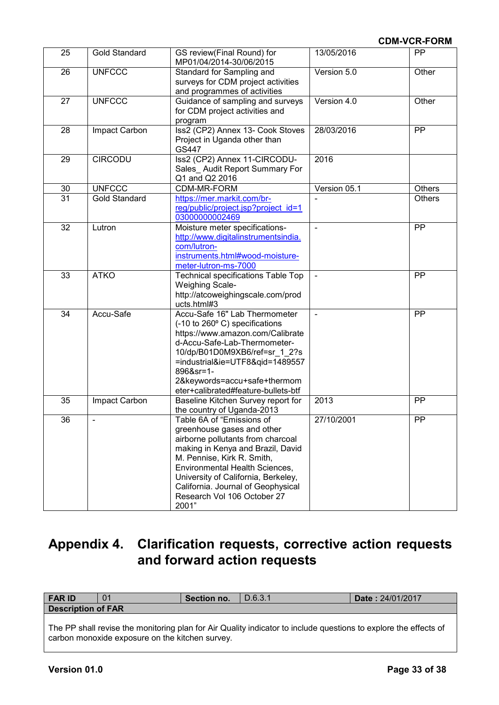| 25 | <b>Gold Standard</b> | GS review(Final Round) for<br>MP01/04/2014-30/06/2015                                                                                                                                                                                                                                                                  | 13/05/2016     | <b>PP</b>     |
|----|----------------------|------------------------------------------------------------------------------------------------------------------------------------------------------------------------------------------------------------------------------------------------------------------------------------------------------------------------|----------------|---------------|
| 26 | <b>UNFCCC</b>        | Standard for Sampling and<br>surveys for CDM project activities<br>and programmes of activities                                                                                                                                                                                                                        | Version 5.0    | Other         |
| 27 | <b>UNFCCC</b>        | Guidance of sampling and surveys<br>for CDM project activities and<br>program                                                                                                                                                                                                                                          | Version 4.0    | Other         |
| 28 | Impact Carbon        | Iss2 (CP2) Annex 13- Cook Stoves<br>Project in Uganda other than<br>GS447                                                                                                                                                                                                                                              | 28/03/2016     | PP            |
| 29 | <b>CIRCODU</b>       | Iss2 (CP2) Annex 11-CIRCODU-<br>Sales_Audit Report Summary For<br>Q1 and Q2 2016                                                                                                                                                                                                                                       | 2016           |               |
| 30 | <b>UNFCCC</b>        | CDM-MR-FORM                                                                                                                                                                                                                                                                                                            | Version 05.1   | <b>Others</b> |
| 31 | <b>Gold Standard</b> | https://mer.markit.com/br-<br>reg/public/project.jsp?project_id=1<br>03000000002469                                                                                                                                                                                                                                    |                | <b>Others</b> |
| 32 | Lutron               | Moisture meter specifications-<br>http://www.digitalinstrumentsindia.<br>com/lutron-<br>instruments.html#wood-moisture-<br>meter-lutron-ms-7000                                                                                                                                                                        | ÷,             | PP            |
| 33 | <b>ATKO</b>          | <b>Technical specifications Table Top</b><br><b>Weighing Scale-</b><br>http://atcoweighingscale.com/prod<br>ucts.html#3                                                                                                                                                                                                | $\blacksquare$ | PP            |
| 34 | Accu-Safe            | Accu-Safe 16" Lab Thermometer<br>(-10 to 260° C) specifications<br>https://www.amazon.com/Calibrate<br>d-Accu-Safe-Lab-Thermometer-<br>10/dp/B01D0M9XB6/ref=sr 1 2?s<br>=industrial&ie=UTF8&qid=1489557<br>896&sr=1-<br>2&keywords=accu+safe+thermom<br>eter+calibrated#feature-bullets-btf                            | $\blacksquare$ | PP            |
| 35 | Impact Carbon        | Baseline Kitchen Survey report for<br>the country of Uganda-2013                                                                                                                                                                                                                                                       | 2013           | <b>PP</b>     |
| 36 | $\blacksquare$       | Table 6A of "Emissions of<br>greenhouse gases and other<br>airborne pollutants from charcoal<br>making in Kenya and Brazil, David<br>M. Pennise, Kirk R. Smith,<br>Environmental Health Sciences,<br>University of California, Berkeley,<br>California. Journal of Geophysical<br>Research Vol 106 October 27<br>2001" | 27/10/2001     | PP            |

# **Appendix 4. Clarification requests, corrective action requests and forward action requests**

| <b>FAR ID</b>                                                                                                    | 0 <sup>1</sup> | Section no. | D.6.3.1 | <b>Date: 24/01/2017</b> |
|------------------------------------------------------------------------------------------------------------------|----------------|-------------|---------|-------------------------|
| Description of FAR                                                                                               |                |             |         |                         |
|                                                                                                                  |                |             |         |                         |
| The PP shall revise the monitoring plan for Air Quality indicator to include questions to explore the effects of |                |             |         |                         |

The PP shall revise the monitoring plan for Air Quality indicator to include questions to explore the effects of carbon monoxide exposure on the kitchen survey.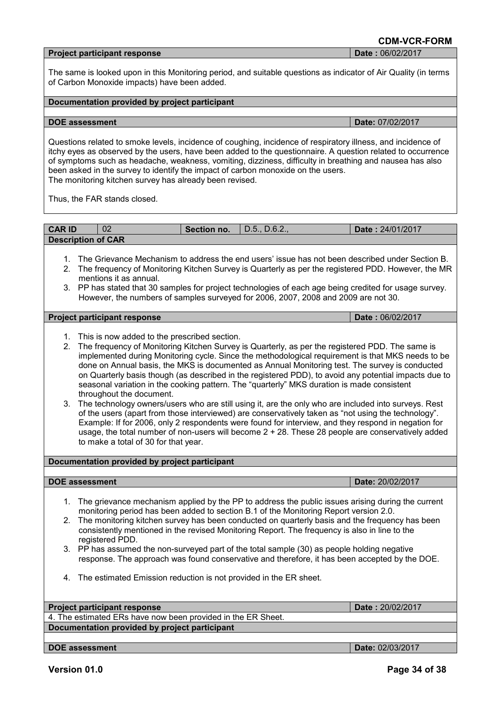# **Project participant response Date :** 06/02/2017

The same is looked upon in this Monitoring period, and suitable questions as indicator of Air Quality (in terms of Carbon Monoxide impacts) have been added.

#### **Documentation provided by project participant**

#### **DOE** assessment **Date:** 07/02/2017

Questions related to smoke levels, incidence of coughing, incidence of respiratory illness, and incidence of itchy eyes as observed by the users, have been added to the questionnaire. A question related to occurrence of symptoms such as headache, weakness, vomiting, dizziness, difficulty in breathing and nausea has also been asked in the survey to identify the impact of carbon monoxide on the users. The monitoring kitchen survey has already been revised.

Thus, the FAR stands closed.

| <b>CAR ID</b>             | 02 | <b>Section no.</b> $ $ D.5., D.6.2., | <b>Date: 24/01/2017</b> |
|---------------------------|----|--------------------------------------|-------------------------|
| <b>Description of CAR</b> |    |                                      |                         |

- 1. The Grievance Mechanism to address the end users' issue has not been described under Section B.
- 2. The frequency of Monitoring Kitchen Survey is Quarterly as per the registered PDD. However, the MR mentions it as annual.
- 3. PP has stated that 30 samples for project technologies of each age being credited for usage survey. However, the numbers of samples surveyed for 2006, 2007, 2008 and 2009 are not 30.

#### **Project participant response Date :** 06/02/2017

- 1. This is now added to the prescribed section.
- 2. The frequency of Monitoring Kitchen Survey is Quarterly, as per the registered PDD. The same is implemented during Monitoring cycle. Since the methodological requirement is that MKS needs to be done on Annual basis, the MKS is documented as Annual Monitoring test. The survey is conducted on Quarterly basis though (as described in the registered PDD), to avoid any potential impacts due to seasonal variation in the cooking pattern. The "quarterly" MKS duration is made consistent throughout the document.
- 3. The technology owners/users who are still using it, are the only who are included into surveys. Rest of the users (apart from those interviewed) are conservatively taken as "not using the technology". Example: If for 2006, only 2 respondents were found for interview, and they respond in negation for usage, the total number of non-users will become 2 + 28. These 28 people are conservatively added to make a total of 30 for that year.

#### **Documentation provided by project participant**

#### **DOE** assessment **Date:** 20/02/2017

- 1. The grievance mechanism applied by the PP to address the public issues arising during the current monitoring period has been added to section B.1 of the Monitoring Report version 2.0.
- 2. The monitoring kitchen survey has been conducted on quarterly basis and the frequency has been consistently mentioned in the revised Monitoring Report. The frequency is also in line to the registered PDD.
- 3. PP has assumed the non-surveyed part of the total sample (30) as people holding negative response. The approach was found conservative and therefore, it has been accepted by the DOE.
- 4. The estimated Emission reduction is not provided in the ER sheet.

#### **Project participant response Date :** 20/02/2017

4. The estimated ERs have now been provided in the ER Sheet. **Documentation provided by project participant**

**DOE assessment Date:** 02/03/2017

**CDM-VCR-FORM**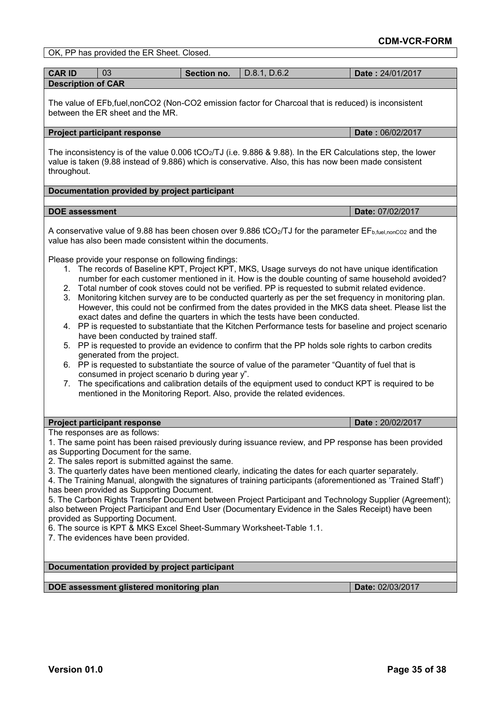|                                                                                                                                                                                                                                                                                                                                                                                                                                                                                                                                                                                                                                                                                                                                                                                                                                                                                   | OK, PP has provided the ER Sheet. Closed.                                                                                                                                                                                                                                                                                                                                                                                                                                                                                                                                                                                                                                                                                                                                                                                                                                                                                                                                                                                                                                                                                                                                                                                                                                                                                                                                                                                                                                                       |             |              |  |                                                                                                                          |
|-----------------------------------------------------------------------------------------------------------------------------------------------------------------------------------------------------------------------------------------------------------------------------------------------------------------------------------------------------------------------------------------------------------------------------------------------------------------------------------------------------------------------------------------------------------------------------------------------------------------------------------------------------------------------------------------------------------------------------------------------------------------------------------------------------------------------------------------------------------------------------------|-------------------------------------------------------------------------------------------------------------------------------------------------------------------------------------------------------------------------------------------------------------------------------------------------------------------------------------------------------------------------------------------------------------------------------------------------------------------------------------------------------------------------------------------------------------------------------------------------------------------------------------------------------------------------------------------------------------------------------------------------------------------------------------------------------------------------------------------------------------------------------------------------------------------------------------------------------------------------------------------------------------------------------------------------------------------------------------------------------------------------------------------------------------------------------------------------------------------------------------------------------------------------------------------------------------------------------------------------------------------------------------------------------------------------------------------------------------------------------------------------|-------------|--------------|--|--------------------------------------------------------------------------------------------------------------------------|
| <b>CAR ID</b>                                                                                                                                                                                                                                                                                                                                                                                                                                                                                                                                                                                                                                                                                                                                                                                                                                                                     | 03                                                                                                                                                                                                                                                                                                                                                                                                                                                                                                                                                                                                                                                                                                                                                                                                                                                                                                                                                                                                                                                                                                                                                                                                                                                                                                                                                                                                                                                                                              | Section no. | D.8.1, D.6.2 |  | Date: 24/01/2017                                                                                                         |
| <b>Description of CAR</b>                                                                                                                                                                                                                                                                                                                                                                                                                                                                                                                                                                                                                                                                                                                                                                                                                                                         |                                                                                                                                                                                                                                                                                                                                                                                                                                                                                                                                                                                                                                                                                                                                                                                                                                                                                                                                                                                                                                                                                                                                                                                                                                                                                                                                                                                                                                                                                                 |             |              |  |                                                                                                                          |
|                                                                                                                                                                                                                                                                                                                                                                                                                                                                                                                                                                                                                                                                                                                                                                                                                                                                                   | The value of EFb, fuel, nonCO2 (Non-CO2 emission factor for Charcoal that is reduced) is inconsistent<br>between the ER sheet and the MR.                                                                                                                                                                                                                                                                                                                                                                                                                                                                                                                                                                                                                                                                                                                                                                                                                                                                                                                                                                                                                                                                                                                                                                                                                                                                                                                                                       |             |              |  |                                                                                                                          |
|                                                                                                                                                                                                                                                                                                                                                                                                                                                                                                                                                                                                                                                                                                                                                                                                                                                                                   | <b>Project participant response</b>                                                                                                                                                                                                                                                                                                                                                                                                                                                                                                                                                                                                                                                                                                                                                                                                                                                                                                                                                                                                                                                                                                                                                                                                                                                                                                                                                                                                                                                             |             |              |  | Date: 06/02/2017                                                                                                         |
| throughout.                                                                                                                                                                                                                                                                                                                                                                                                                                                                                                                                                                                                                                                                                                                                                                                                                                                                       | value is taken (9.88 instead of 9.886) which is conservative. Also, this has now been made consistent                                                                                                                                                                                                                                                                                                                                                                                                                                                                                                                                                                                                                                                                                                                                                                                                                                                                                                                                                                                                                                                                                                                                                                                                                                                                                                                                                                                           |             |              |  | The inconsistency is of the value 0.006 tCO <sub>2</sub> /TJ (i.e. 9.886 & 9.88). In the ER Calculations step, the lower |
|                                                                                                                                                                                                                                                                                                                                                                                                                                                                                                                                                                                                                                                                                                                                                                                                                                                                                   | Documentation provided by project participant                                                                                                                                                                                                                                                                                                                                                                                                                                                                                                                                                                                                                                                                                                                                                                                                                                                                                                                                                                                                                                                                                                                                                                                                                                                                                                                                                                                                                                                   |             |              |  |                                                                                                                          |
| <b>DOE</b> assessment                                                                                                                                                                                                                                                                                                                                                                                                                                                                                                                                                                                                                                                                                                                                                                                                                                                             |                                                                                                                                                                                                                                                                                                                                                                                                                                                                                                                                                                                                                                                                                                                                                                                                                                                                                                                                                                                                                                                                                                                                                                                                                                                                                                                                                                                                                                                                                                 |             |              |  | Date: 07/02/2017                                                                                                         |
| 3.<br>$7_{\cdot}$                                                                                                                                                                                                                                                                                                                                                                                                                                                                                                                                                                                                                                                                                                                                                                                                                                                                 | A conservative value of 9.88 has been chosen over 9.886 tCO <sub>2</sub> /TJ for the parameter $EF_{b, fuel, nonCO2}$ and the<br>value has also been made consistent within the documents.<br>Please provide your response on following findings:<br>1. The records of Baseline KPT, Project KPT, MKS, Usage surveys do not have unique identification<br>number for each customer mentioned in it. How is the double counting of same household avoided?<br>2. Total number of cook stoves could not be verified. PP is requested to submit related evidence.<br>Monitoring kitchen survey are to be conducted quarterly as per the set frequency in monitoring plan.<br>However, this could not be confirmed from the dates provided in the MKS data sheet. Please list the<br>exact dates and define the quarters in which the tests have been conducted.<br>4. PP is requested to substantiate that the Kitchen Performance tests for baseline and project scenario<br>have been conducted by trained staff.<br>5. PP is requested to provide an evidence to confirm that the PP holds sole rights to carbon credits<br>generated from the project.<br>6. PP is requested to substantiate the source of value of the parameter "Quantity of fuel that is<br>consumed in project scenario b during year y".<br>The specifications and calibration details of the equipment used to conduct KPT is required to be<br>mentioned in the Monitoring Report. Also, provide the related evidences. |             |              |  |                                                                                                                          |
|                                                                                                                                                                                                                                                                                                                                                                                                                                                                                                                                                                                                                                                                                                                                                                                                                                                                                   | <b>Project participant response</b>                                                                                                                                                                                                                                                                                                                                                                                                                                                                                                                                                                                                                                                                                                                                                                                                                                                                                                                                                                                                                                                                                                                                                                                                                                                                                                                                                                                                                                                             |             |              |  | Date: 20/02/2017                                                                                                         |
| The responses are as follows:<br>1. The same point has been raised previously during issuance review, and PP response has been provided<br>as Supporting Document for the same.<br>2. The sales report is submitted against the same.<br>3. The quarterly dates have been mentioned clearly, indicating the dates for each quarter separately.<br>4. The Training Manual, alongwith the signatures of training participants (aforementioned as 'Trained Staff')<br>has been provided as Supporting Document.<br>5. The Carbon Rights Transfer Document between Project Participant and Technology Supplier (Agreement);<br>also between Project Participant and End User (Documentary Evidence in the Sales Receipt) have been<br>provided as Supporting Document.<br>6. The source is KPT & MKS Excel Sheet-Summary Worksheet-Table 1.1.<br>7. The evidences have been provided. |                                                                                                                                                                                                                                                                                                                                                                                                                                                                                                                                                                                                                                                                                                                                                                                                                                                                                                                                                                                                                                                                                                                                                                                                                                                                                                                                                                                                                                                                                                 |             |              |  |                                                                                                                          |
|                                                                                                                                                                                                                                                                                                                                                                                                                                                                                                                                                                                                                                                                                                                                                                                                                                                                                   | Documentation provided by project participant                                                                                                                                                                                                                                                                                                                                                                                                                                                                                                                                                                                                                                                                                                                                                                                                                                                                                                                                                                                                                                                                                                                                                                                                                                                                                                                                                                                                                                                   |             |              |  |                                                                                                                          |
|                                                                                                                                                                                                                                                                                                                                                                                                                                                                                                                                                                                                                                                                                                                                                                                                                                                                                   | DOE assessment glistered monitoring plan<br>Date: 02/03/2017                                                                                                                                                                                                                                                                                                                                                                                                                                                                                                                                                                                                                                                                                                                                                                                                                                                                                                                                                                                                                                                                                                                                                                                                                                                                                                                                                                                                                                    |             |              |  |                                                                                                                          |
|                                                                                                                                                                                                                                                                                                                                                                                                                                                                                                                                                                                                                                                                                                                                                                                                                                                                                   |                                                                                                                                                                                                                                                                                                                                                                                                                                                                                                                                                                                                                                                                                                                                                                                                                                                                                                                                                                                                                                                                                                                                                                                                                                                                                                                                                                                                                                                                                                 |             |              |  |                                                                                                                          |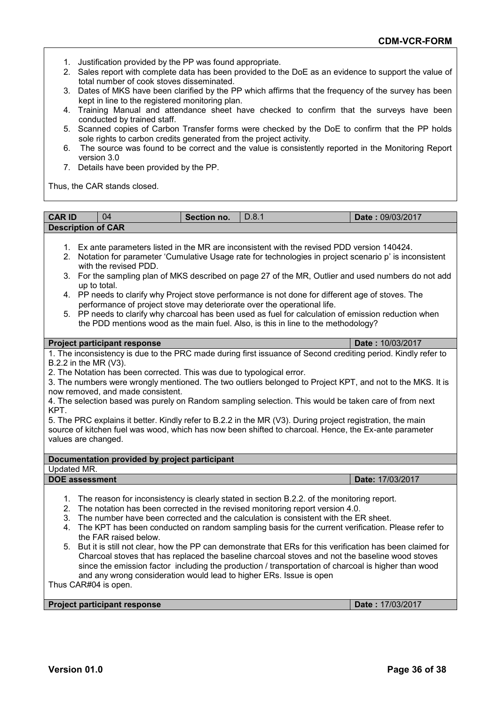- 1. Justification provided by the PP was found appropriate.
- 2. Sales report with complete data has been provided to the DoE as an evidence to support the value of total number of cook stoves disseminated.
- 3. Dates of MKS have been clarified by the PP which affirms that the frequency of the survey has been kept in line to the registered monitoring plan.
- 4. Training Manual and attendance sheet have checked to confirm that the surveys have been conducted by trained staff.
- 5. Scanned copies of Carbon Transfer forms were checked by the DoE to confirm that the PP holds sole rights to carbon credits generated from the project activity.
- 6. The source was found to be correct and the value is consistently reported in the Monitoring Report version 3.0
- 7. Details have been provided by the PP.

Thus, the CAR stands closed.

| <b>CAR ID</b><br>04                                                                                                                                                                                                                                                                                                                                                                                                                                                                                                                                                                                                                                                                                                                                                                                                                                  | Section no. | D.8.1 | Date: 09/03/2017 |  |  |  |
|------------------------------------------------------------------------------------------------------------------------------------------------------------------------------------------------------------------------------------------------------------------------------------------------------------------------------------------------------------------------------------------------------------------------------------------------------------------------------------------------------------------------------------------------------------------------------------------------------------------------------------------------------------------------------------------------------------------------------------------------------------------------------------------------------------------------------------------------------|-------------|-------|------------------|--|--|--|
| <b>Description of CAR</b>                                                                                                                                                                                                                                                                                                                                                                                                                                                                                                                                                                                                                                                                                                                                                                                                                            |             |       |                  |  |  |  |
| 1. Ex ante parameters listed in the MR are inconsistent with the revised PDD version 140424.<br>2. Notation for parameter 'Cumulative Usage rate for technologies in project scenario p' is inconsistent<br>with the revised PDD.<br>3. For the sampling plan of MKS described on page 27 of the MR, Outlier and used numbers do not add<br>up to total.<br>PP needs to clarify why Project stove performance is not done for different age of stoves. The<br>4.<br>performance of project stove may deteriorate over the operational life.<br>5. PP needs to clarify why charcoal has been used as fuel for calculation of emission reduction when<br>the PDD mentions wood as the main fuel. Also, is this in line to the methodology?                                                                                                             |             |       |                  |  |  |  |
| <b>Project participant response</b>                                                                                                                                                                                                                                                                                                                                                                                                                                                                                                                                                                                                                                                                                                                                                                                                                  |             |       | Date: 10/03/2017 |  |  |  |
| 1. The inconsistency is due to the PRC made during first issuance of Second crediting period. Kindly refer to<br>B.2.2 in the MR (V3).<br>2. The Notation has been corrected. This was due to typological error.<br>3. The numbers were wrongly mentioned. The two outliers belonged to Project KPT, and not to the MKS. It is<br>now removed, and made consistent.<br>4. The selection based was purely on Random sampling selection. This would be taken care of from next<br>KPT.<br>5. The PRC explains it better. Kindly refer to B.2.2 in the MR (V3). During project registration, the main<br>source of kitchen fuel was wood, which has now been shifted to charcoal. Hence, the Ex-ante parameter<br>values are changed.                                                                                                                   |             |       |                  |  |  |  |
| Documentation provided by project participant                                                                                                                                                                                                                                                                                                                                                                                                                                                                                                                                                                                                                                                                                                                                                                                                        |             |       |                  |  |  |  |
| <b>Updated MR.</b>                                                                                                                                                                                                                                                                                                                                                                                                                                                                                                                                                                                                                                                                                                                                                                                                                                   |             |       |                  |  |  |  |
| <b>DOE</b> assessment                                                                                                                                                                                                                                                                                                                                                                                                                                                                                                                                                                                                                                                                                                                                                                                                                                |             |       | Date: 17/03/2017 |  |  |  |
| 1.<br>The reason for inconsistency is clearly stated in section B.2.2. of the monitoring report.<br>2.<br>The notation has been corrected in the revised monitoring report version 4.0.<br>The number have been corrected and the calculation is consistent with the ER sheet.<br>3.<br>The KPT has been conducted on random sampling basis for the current verification. Please refer to<br>4.<br>the FAR raised below.<br>But it is still not clear, how the PP can demonstrate that ERs for this verification has been claimed for<br>5.<br>Charcoal stoves that has replaced the baseline charcoal stoves and not the baseline wood stoves<br>since the emission factor including the production / transportation of charcoal is higher than wood<br>and any wrong consideration would lead to higher ERs. Issue is open<br>Thus CAR#04 is open. |             |       |                  |  |  |  |
| <b>Project participant response</b>                                                                                                                                                                                                                                                                                                                                                                                                                                                                                                                                                                                                                                                                                                                                                                                                                  |             |       | Date: 17/03/2017 |  |  |  |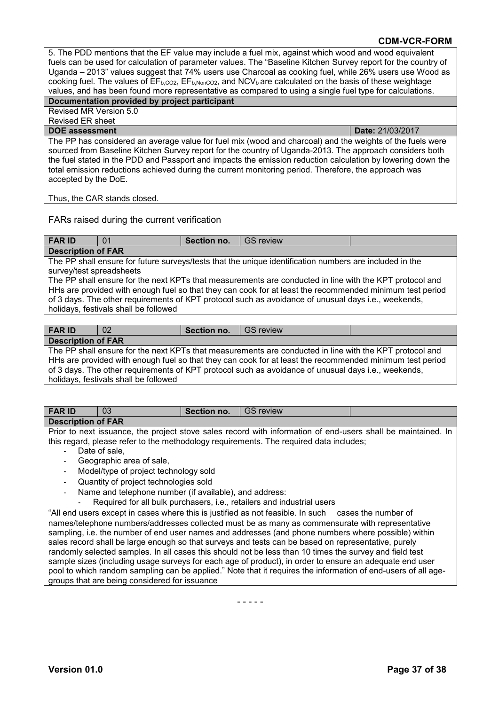5. The PDD mentions that the EF value may include a fuel mix, against which wood and wood equivalent fuels can be used for calculation of parameter values. The "Baseline Kitchen Survey report for the country of Uganda – 2013" values suggest that 74% users use Charcoal as cooking fuel, while 26% users use Wood as cooking fuel. The values of  $\overline{\mathsf{EF}_{b,CO2}}$ ,  $\mathsf{EF}_{b,NonCO2}$ , and NCV<sub>b</sub> are calculated on the basis of these weightage values, and has been found more representative as compared to using a single fuel type for calculations.

# **Documentation provided by project participant**

Revised MR Version 5.0 Revised ER sheet

**DOE assessment Date:** 21/03/2017 The PP has considered an average value for fuel mix (wood and charcoal) and the weights of the fuels were sourced from Baseline Kitchen Survey report for the country of Uganda-2013. The approach considers both the fuel stated in the PDD and Passport and impacts the emission reduction calculation by lowering down the total emission reductions achieved during the current monitoring period. Therefore, the approach was accepted by the DoE.

Thus, the CAR stands closed.

### FARs raised during the current verification

| <b>FAR ID</b>                                                                                            | 01                                                                                                      | Section no. | <b>GS review</b> |  |  |  |  |  |
|----------------------------------------------------------------------------------------------------------|---------------------------------------------------------------------------------------------------------|-------------|------------------|--|--|--|--|--|
|                                                                                                          | <b>Description of FAR</b>                                                                               |             |                  |  |  |  |  |  |
|                                                                                                          | The PP shall ensure for future surveys/tests that the unique identification numbers are included in the |             |                  |  |  |  |  |  |
| survey/test spreadsheets                                                                                 |                                                                                                         |             |                  |  |  |  |  |  |
|                                                                                                          | The PP shall ensure for the next KPTs that measurements are conducted in line with the KPT protocol and |             |                  |  |  |  |  |  |
| HHs are provided with enough fuel so that they can cook for at least the recommended minimum test period |                                                                                                         |             |                  |  |  |  |  |  |
| of 3 days. The other requirements of KPT protocol such as avoidance of unusual days i.e., weekends,      |                                                                                                         |             |                  |  |  |  |  |  |
| holidays, festivals shall be followed                                                                    |                                                                                                         |             |                  |  |  |  |  |  |
|                                                                                                          |                                                                                                         |             |                  |  |  |  |  |  |

| <b>FAR ID</b>                                                                                            | 02 | Section no. | I GS review |  |  |  |
|----------------------------------------------------------------------------------------------------------|----|-------------|-------------|--|--|--|
| <b>Description of FAR</b>                                                                                |    |             |             |  |  |  |
| The PP shall ensure for the next KPTs that measurements are conducted in line with the KPT protocol and  |    |             |             |  |  |  |
| HHs are provided with enough fuel so that they can cook for at least the recommended minimum test period |    |             |             |  |  |  |
| of 3 days. The other requirements of KPT protocol such as avoidance of unusual days i.e., weekends,      |    |             |             |  |  |  |
| l barbatarra - Carattera ta a barbitar - Callacera al-                                                   |    |             |             |  |  |  |

|  |  | holidays, festivals shall be followed |  |  |  |
|--|--|---------------------------------------|--|--|--|

| <b>FAR ID</b>                                                                                       | 03                                                                                                           | Section no. | <b>GS review</b>                                                                       |  |  |  |  |
|-----------------------------------------------------------------------------------------------------|--------------------------------------------------------------------------------------------------------------|-------------|----------------------------------------------------------------------------------------|--|--|--|--|
| <b>Description of FAR</b>                                                                           |                                                                                                              |             |                                                                                        |  |  |  |  |
|                                                                                                     | Prior to next issuance, the project stove sales record with information of end-users shall be maintained. In |             |                                                                                        |  |  |  |  |
|                                                                                                     |                                                                                                              |             | this regard, please refer to the methodology requirements. The required data includes; |  |  |  |  |
|                                                                                                     | Date of sale,                                                                                                |             |                                                                                        |  |  |  |  |
|                                                                                                     | Geographic area of sale,                                                                                     |             |                                                                                        |  |  |  |  |
|                                                                                                     | Model/type of project technology sold                                                                        |             |                                                                                        |  |  |  |  |
|                                                                                                     | Quantity of project technologies sold                                                                        |             |                                                                                        |  |  |  |  |
|                                                                                                     | Name and telephone number (if available), and address:                                                       |             |                                                                                        |  |  |  |  |
| -                                                                                                   | Required for all bulk purchasers, i.e., retailers and industrial users                                       |             |                                                                                        |  |  |  |  |
| "All end users except in cases where this is justified as not feasible. In such cases the number of |                                                                                                              |             |                                                                                        |  |  |  |  |
| names/telephone numbers/addresses collected must be as many as commensurate with representative     |                                                                                                              |             |                                                                                        |  |  |  |  |
|                                                                                                     | sampling, i.e. the number of end user names and addresses (and phone numbers where possible) within          |             |                                                                                        |  |  |  |  |

sales record shall be large enough so that surveys and tests can be based on representative, purely randomly selected samples. In all cases this should not be less than 10 times the survey and field test sample sizes (including usage surveys for each age of product), in order to ensure an adequate end user pool to which random sampling can be applied." Note that it requires the information of end-users of all agegroups that are being considered for issuance

- - - - -